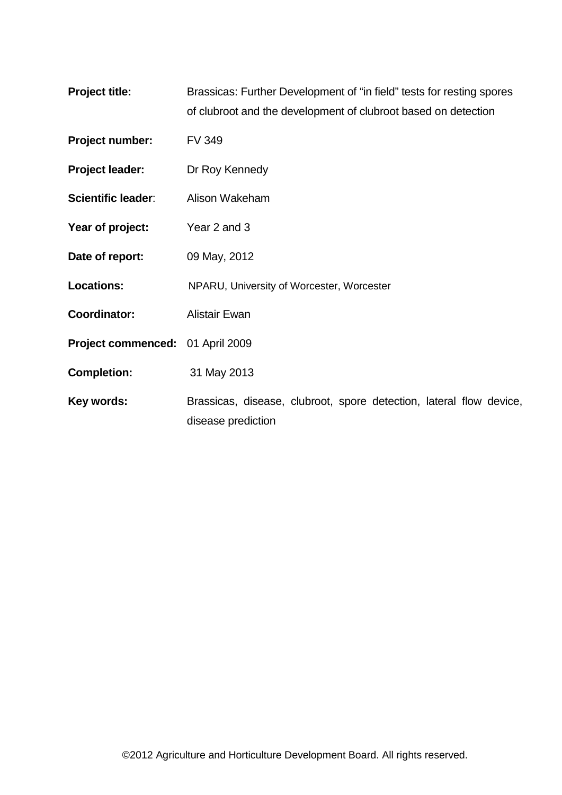| <b>Project title:</b> | Brassicas: Further Development of "in field" tests for resting spores |
|-----------------------|-----------------------------------------------------------------------|
|                       | of clubroot and the development of clubroot based on detection        |

- **Project number:** FV 349
- **Project leader:** Dr Roy Kennedy
- **Scientific leader:** Alison Wakeham
- Year of project: Year 2 and 3
- **Date of report:** 09 May, 2012
- Locations: NPARU, University of Worcester, Worcester
- **Coordinator:** Alistair Ewan
- **Project commenced:** 01 April 2009
- **Completion:** 31 May 2013
- Key words: **Brassicas, disease, clubroot, spore detection, lateral flow device,** disease prediction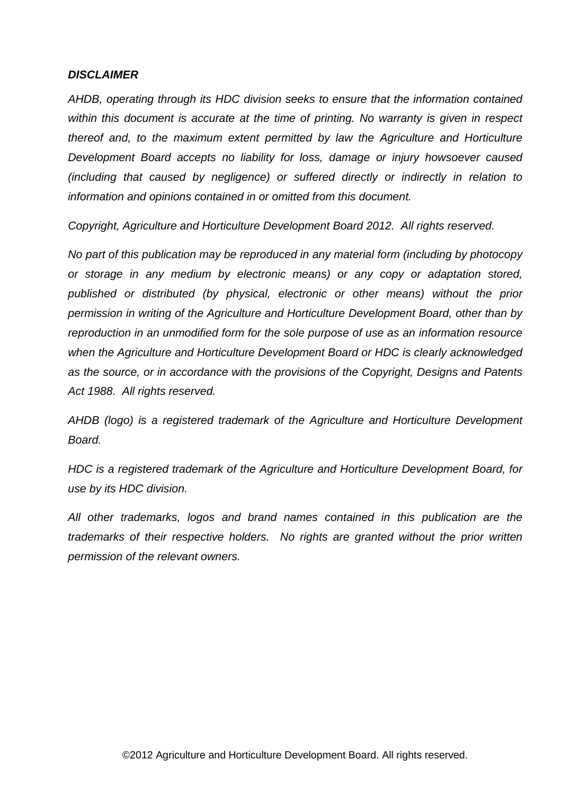### *DISCLAIMER*

*AHDB, operating through its HDC division seeks to ensure that the information contained within this document is accurate at the time of printing. No warranty is given in respect thereof and, to the maximum extent permitted by law the Agriculture and Horticulture Development Board accepts no liability for loss, damage or injury howsoever caused (including that caused by negligence) or suffered directly or indirectly in relation to information and opinions contained in or omitted from this document.* 

*Copyright, Agriculture and Horticulture Development Board 2012. All rights reserved.*

*No part of this publication may be reproduced in any material form (including by photocopy or storage in any medium by electronic means) or any copy or adaptation stored, published or distributed (by physical, electronic or other means) without the prior permission in writing of the Agriculture and Horticulture Development Board, other than by reproduction in an unmodified form for the sole purpose of use as an information resource when the Agriculture and Horticulture Development Board or HDC is clearly acknowledged as the source, or in accordance with the provisions of the Copyright, Designs and Patents Act 1988. All rights reserved.* 

*AHDB (logo) is a registered trademark of the Agriculture and Horticulture Development Board.*

*HDC is a registered trademark of the Agriculture and Horticulture Development Board, for use by its HDC division.*

*All other trademarks, logos and brand names contained in this publication are the trademarks of their respective holders. No rights are granted without the prior written permission of the relevant owners.*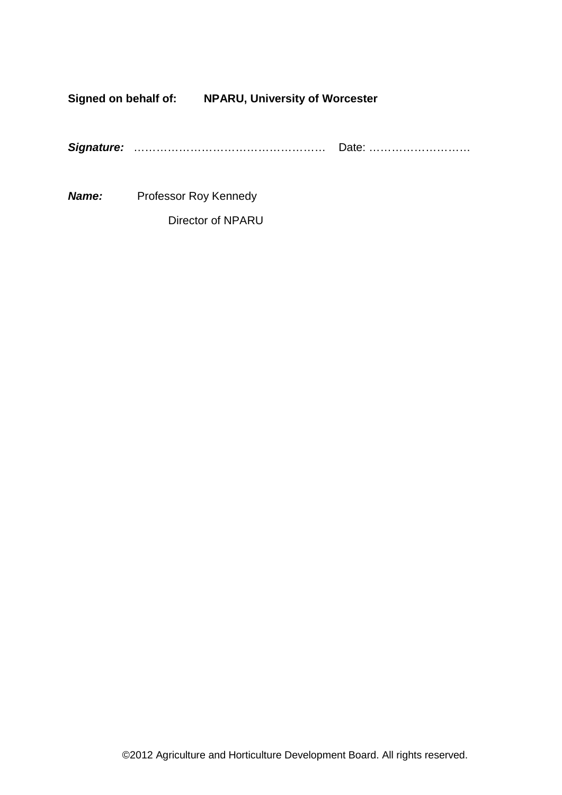**Signed on behalf of: NPARU, University of Worcester**

|--|--|--|

*Name:* Professor Roy Kennedy

Director of NPARU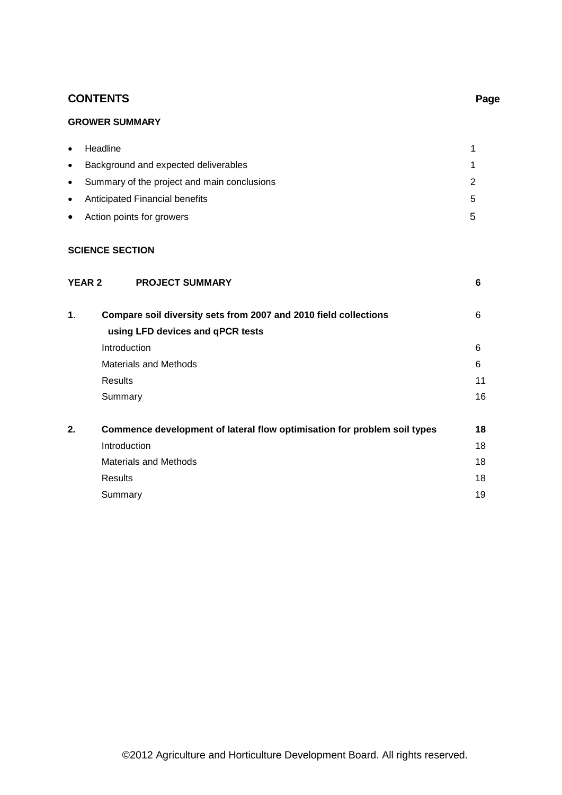# **CONTENTS Page**

# **GROWER SUMMARY**

| $\bullet$ | Headline                                      |    |
|-----------|-----------------------------------------------|----|
| $\bullet$ | Background and expected deliverables          |    |
|           | • Summary of the project and main conclusions |    |
| $\bullet$ | Anticipated Financial benefits                | Б. |
| $\bullet$ | Action points for growers                     | ∽  |

### **SCIENCE SECTION**

| <b>YEAR 2</b> | <b>PROJECT SUMMARY</b>                                                   | 6  |
|---------------|--------------------------------------------------------------------------|----|
| 1.            | Compare soil diversity sets from 2007 and 2010 field collections         | 6  |
|               | using LFD devices and qPCR tests                                         |    |
|               | Introduction                                                             | 6  |
|               | Materials and Methods                                                    | 6  |
|               | <b>Results</b>                                                           | 11 |
|               | Summary                                                                  | 16 |
| 2.            | Commence development of lateral flow optimisation for problem soil types | 18 |
|               | Introduction                                                             | 18 |
|               | <b>Materials and Methods</b>                                             | 18 |
|               | Results                                                                  | 18 |
|               | Summary                                                                  | 19 |
|               |                                                                          |    |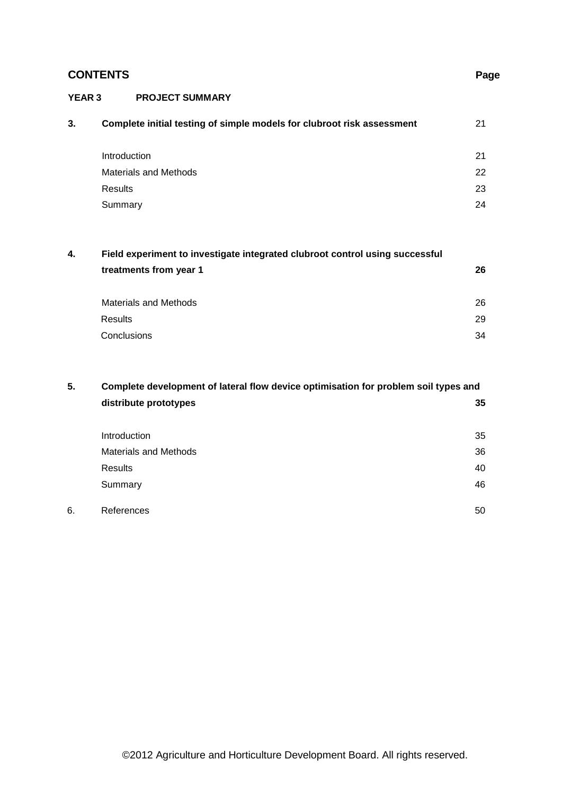# **CONTENTS Page**

### **YEAR 3 PROJECT SUMMARY**

| 3.<br>Complete initial testing of simple models for clubroot risk assessment | 21 |
|------------------------------------------------------------------------------|----|
| Introduction                                                                 | 21 |
| <b>Materials and Methods</b>                                                 | 22 |
| Results                                                                      | 23 |
| Summary                                                                      | 24 |

# **4. Field experiment to investigate integrated clubroot control using successful treatments from year 1 26**

| Materials and Methods | 26 |
|-----------------------|----|
| Results               | 29 |
| Conclusions           | 34 |

# **5. Complete development of lateral flow device optimisation for problem soil types and distribute prototypes 35**

|    | Introduction                 | 35 |
|----|------------------------------|----|
|    | <b>Materials and Methods</b> | 36 |
|    | Results                      | 40 |
|    | Summary                      | 46 |
| 6. | References                   | 50 |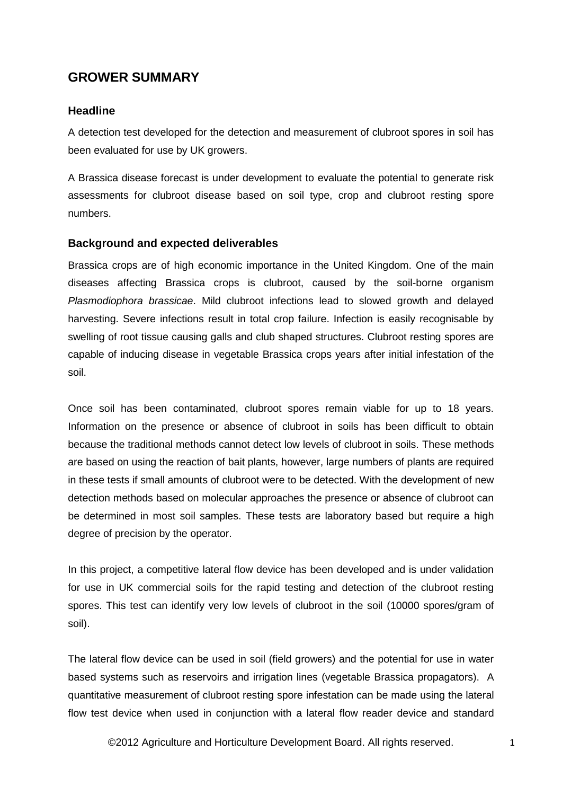# **GROWER SUMMARY**

# **Headline**

A detection test developed for the detection and measurement of clubroot spores in soil has been evaluated for use by UK growers.

A Brassica disease forecast is under development to evaluate the potential to generate risk assessments for clubroot disease based on soil type, crop and clubroot resting spore numbers.

# **Background and expected deliverables**

Brassica crops are of high economic importance in the United Kingdom. One of the main diseases affecting Brassica crops is clubroot, caused by the soil-borne organism *Plasmodiophora brassicae*. Mild clubroot infections lead to slowed growth and delayed harvesting. Severe infections result in total crop failure. Infection is easily recognisable by swelling of root tissue causing galls and club shaped structures. Clubroot resting spores are capable of inducing disease in vegetable Brassica crops years after initial infestation of the soil.

Once soil has been contaminated, clubroot spores remain viable for up to 18 years. Information on the presence or absence of clubroot in soils has been difficult to obtain because the traditional methods cannot detect low levels of clubroot in soils. These methods are based on using the reaction of bait plants, however, large numbers of plants are required in these tests if small amounts of clubroot were to be detected. With the development of new detection methods based on molecular approaches the presence or absence of clubroot can be determined in most soil samples. These tests are laboratory based but require a high degree of precision by the operator.

In this project, a competitive lateral flow device has been developed and is under validation for use in UK commercial soils for the rapid testing and detection of the clubroot resting spores. This test can identify very low levels of clubroot in the soil (10000 spores/gram of soil).

The lateral flow device can be used in soil (field growers) and the potential for use in water based systems such as reservoirs and irrigation lines (vegetable Brassica propagators). A quantitative measurement of clubroot resting spore infestation can be made using the lateral flow test device when used in conjunction with a lateral flow reader device and standard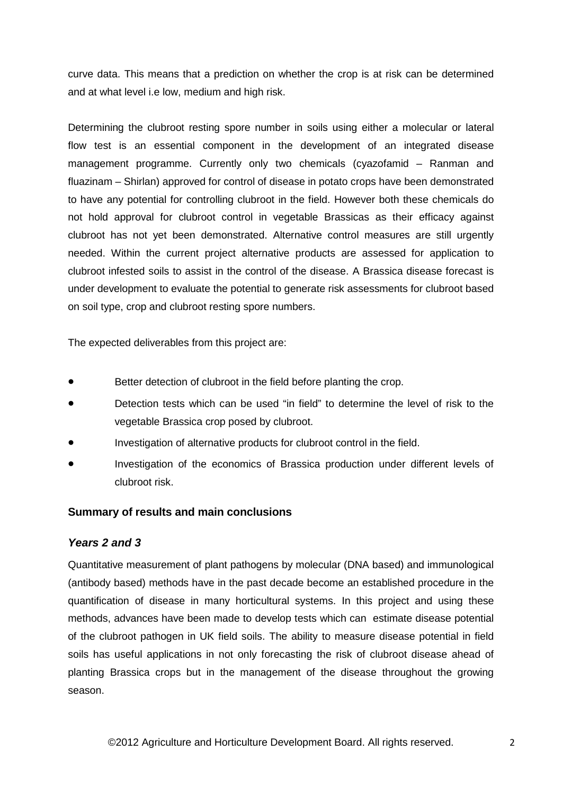curve data. This means that a prediction on whether the crop is at risk can be determined and at what level i.e low, medium and high risk.

Determining the clubroot resting spore number in soils using either a molecular or lateral flow test is an essential component in the development of an integrated disease management programme. Currently only two chemicals (cyazofamid – Ranman and fluazinam – Shirlan) approved for control of disease in potato crops have been demonstrated to have any potential for controlling clubroot in the field. However both these chemicals do not hold approval for clubroot control in vegetable Brassicas as their efficacy against clubroot has not yet been demonstrated. Alternative control measures are still urgently needed. Within the current project alternative products are assessed for application to clubroot infested soils to assist in the control of the disease. A Brassica disease forecast is under development to evaluate the potential to generate risk assessments for clubroot based on soil type, crop and clubroot resting spore numbers.

The expected deliverables from this project are:

- Better detection of clubroot in the field before planting the crop.
- Detection tests which can be used "in field" to determine the level of risk to the vegetable Brassica crop posed by clubroot.
- Investigation of alternative products for clubroot control in the field.
- Investigation of the economics of Brassica production under different levels of clubroot risk.

# **Summary of results and main conclusions**

### *Years 2 and 3*

Quantitative measurement of plant pathogens by molecular (DNA based) and immunological (antibody based) methods have in the past decade become an established procedure in the quantification of disease in many horticultural systems. In this project and using these methods, advances have been made to develop tests which can estimate disease potential of the clubroot pathogen in UK field soils. The ability to measure disease potential in field soils has useful applications in not only forecasting the risk of clubroot disease ahead of planting Brassica crops but in the management of the disease throughout the growing season.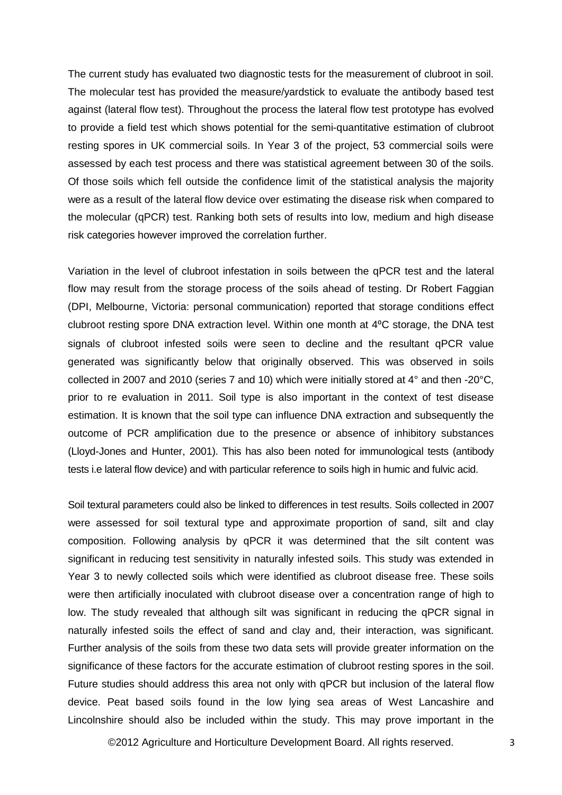The current study has evaluated two diagnostic tests for the measurement of clubroot in soil. The molecular test has provided the measure/yardstick to evaluate the antibody based test against (lateral flow test). Throughout the process the lateral flow test prototype has evolved to provide a field test which shows potential for the semi-quantitative estimation of clubroot resting spores in UK commercial soils. In Year 3 of the project, 53 commercial soils were assessed by each test process and there was statistical agreement between 30 of the soils. Of those soils which fell outside the confidence limit of the statistical analysis the majority were as a result of the lateral flow device over estimating the disease risk when compared to the molecular (qPCR) test. Ranking both sets of results into low, medium and high disease risk categories however improved the correlation further.

Variation in the level of clubroot infestation in soils between the qPCR test and the lateral flow may result from the storage process of the soils ahead of testing. Dr Robert Faggian (DPI, Melbourne, Victoria: personal communication) reported that storage conditions effect clubroot resting spore DNA extraction level. Within one month at 4°C storage, the DNA test signals of clubroot infested soils were seen to decline and the resultant qPCR value generated was significantly below that originally observed. This was observed in soils collected in 2007 and 2010 (series 7 and 10) which were initially stored at 4° and then -20°C, prior to re evaluation in 2011. Soil type is also important in the context of test disease estimation. It is known that the soil type can influence DNA extraction and subsequently the outcome of PCR amplification due to the presence or absence of inhibitory substances (Lloyd-Jones and Hunter, 2001). This has also been noted for immunological tests (antibody tests i.e lateral flow device) and with particular reference to soils high in humic and fulvic acid.

Soil textural parameters could also be linked to differences in test results. Soils collected in 2007 were assessed for soil textural type and approximate proportion of sand, silt and clay composition. Following analysis by qPCR it was determined that the silt content was significant in reducing test sensitivity in naturally infested soils. This study was extended in Year 3 to newly collected soils which were identified as clubroot disease free. These soils were then artificially inoculated with clubroot disease over a concentration range of high to low. The study revealed that although silt was significant in reducing the qPCR signal in naturally infested soils the effect of sand and clay and, their interaction, was significant. Further analysis of the soils from these two data sets will provide greater information on the significance of these factors for the accurate estimation of clubroot resting spores in the soil. Future studies should address this area not only with qPCR but inclusion of the lateral flow device. Peat based soils found in the low lying sea areas of West Lancashire and Lincolnshire should also be included within the study. This may prove important in the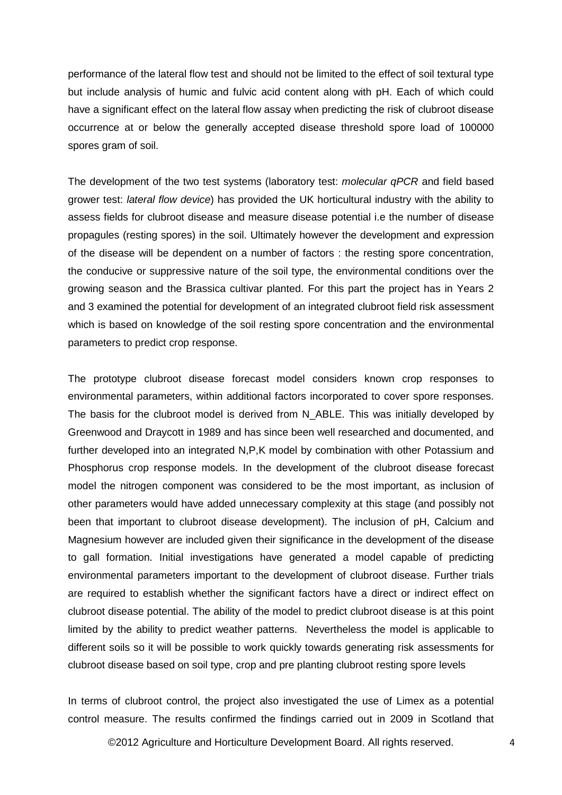performance of the lateral flow test and should not be limited to the effect of soil textural type but include analysis of humic and fulvic acid content along with pH. Each of which could have a significant effect on the lateral flow assay when predicting the risk of clubroot disease occurrence at or below the generally accepted disease threshold spore load of 100000 spores gram of soil.

The development of the two test systems (laboratory test: *molecular qPCR* and field based grower test: *lateral flow device*) has provided the UK horticultural industry with the ability to assess fields for clubroot disease and measure disease potential i.e the number of disease propagules (resting spores) in the soil. Ultimately however the development and expression of the disease will be dependent on a number of factors : the resting spore concentration, the conducive or suppressive nature of the soil type, the environmental conditions over the growing season and the Brassica cultivar planted. For this part the project has in Years 2 and 3 examined the potential for development of an integrated clubroot field risk assessment which is based on knowledge of the soil resting spore concentration and the environmental parameters to predict crop response.

The prototype clubroot disease forecast model considers known crop responses to environmental parameters, within additional factors incorporated to cover spore responses. The basis for the clubroot model is derived from N\_ABLE. This was initially developed by Greenwood and Draycott in 1989 and has since been well researched and documented, and further developed into an integrated N,P,K model by combination with other Potassium and Phosphorus crop response models. In the development of the clubroot disease forecast model the nitrogen component was considered to be the most important, as inclusion of other parameters would have added unnecessary complexity at this stage (and possibly not been that important to clubroot disease development). The inclusion of pH, Calcium and Magnesium however are included given their significance in the development of the disease to gall formation. Initial investigations have generated a model capable of predicting environmental parameters important to the development of clubroot disease. Further trials are required to establish whether the significant factors have a direct or indirect effect on clubroot disease potential. The ability of the model to predict clubroot disease is at this point limited by the ability to predict weather patterns. Nevertheless the model is applicable to different soils so it will be possible to work quickly towards generating risk assessments for clubroot disease based on soil type, crop and pre planting clubroot resting spore levels

In terms of clubroot control, the project also investigated the use of Limex as a potential control measure. The results confirmed the findings carried out in 2009 in Scotland that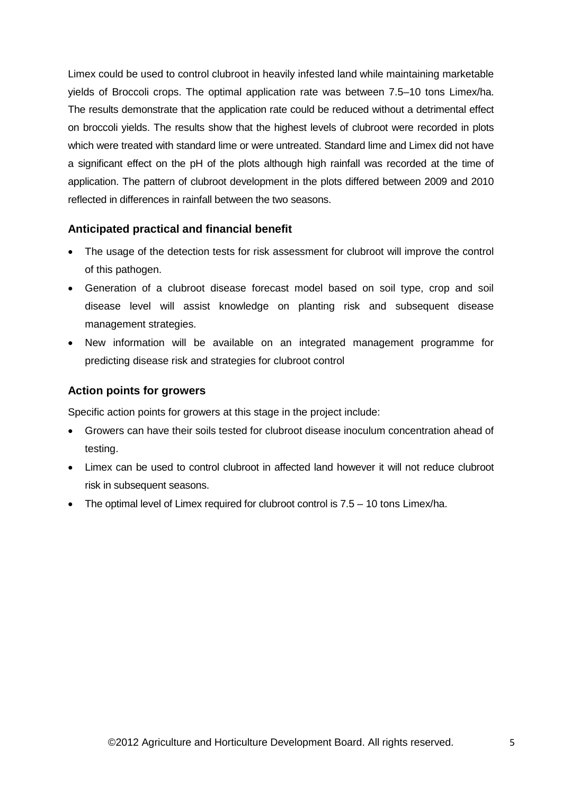Limex could be used to control clubroot in heavily infested land while maintaining marketable yields of Broccoli crops. The optimal application rate was between 7.5–10 tons Limex/ha. The results demonstrate that the application rate could be reduced without a detrimental effect on broccoli yields. The results show that the highest levels of clubroot were recorded in plots which were treated with standard lime or were untreated. Standard lime and Limex did not have a significant effect on the pH of the plots although high rainfall was recorded at the time of application. The pattern of clubroot development in the plots differed between 2009 and 2010 reflected in differences in rainfall between the two seasons.

# **Anticipated practical and financial benefit**

- The usage of the detection tests for risk assessment for clubroot will improve the control of this pathogen.
- Generation of a clubroot disease forecast model based on soil type, crop and soil disease level will assist knowledge on planting risk and subsequent disease management strategies.
- New information will be available on an integrated management programme for predicting disease risk and strategies for clubroot control

# **Action points for growers**

Specific action points for growers at this stage in the project include:

- Growers can have their soils tested for clubroot disease inoculum concentration ahead of testing.
- Limex can be used to control clubroot in affected land however it will not reduce clubroot risk in subsequent seasons.
- The optimal level of Limex required for clubroot control is 7.5 10 tons Limex/ha.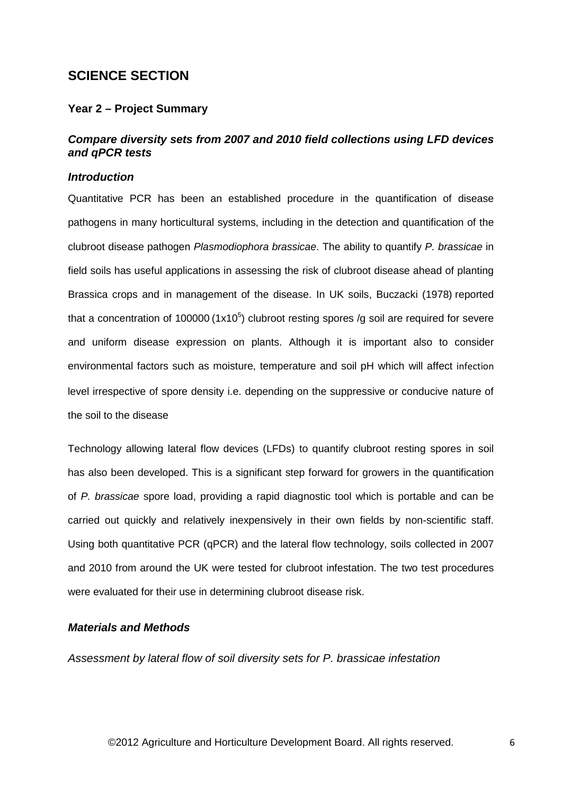# **SCIENCE SECTION**

### **Year 2 – Project Summary**

# *Compare diversity sets from 2007 and 2010 field collections using LFD devices and qPCR tests*

### *Introduction*

Quantitative PCR has been an established procedure in the quantification of disease pathogens in many horticultural systems, including in the detection and quantification of the clubroot disease pathogen *Plasmodiophora brassicae*. The ability to quantify *P. brassicae* in field soils has useful applications in assessing the risk of clubroot disease ahead of planting Brassica crops and in management of the disease. In UK soils, Buczacki (1978) reported that a concentration of 100000 (1x10<sup>5</sup>) clubroot resting spores /g soil are required for severe and uniform disease expression on plants. Although it is important also to consider environmental factors such as moisture, temperature and soil pH which will affect infection level irrespective of spore density i.e. depending on the suppressive or conducive nature of the soil to the disease

Technology allowing lateral flow devices (LFDs) to quantify clubroot resting spores in soil has also been developed. This is a significant step forward for growers in the quantification of *P. brassicae* spore load, providing a rapid diagnostic tool which is portable and can be carried out quickly and relatively inexpensively in their own fields by non-scientific staff. Using both quantitative PCR (qPCR) and the lateral flow technology, soils collected in 2007 and 2010 from around the UK were tested for clubroot infestation. The two test procedures were evaluated for their use in determining clubroot disease risk.

### *Materials and Methods*

*Assessment by lateral flow of soil diversity sets for P. brassicae infestation*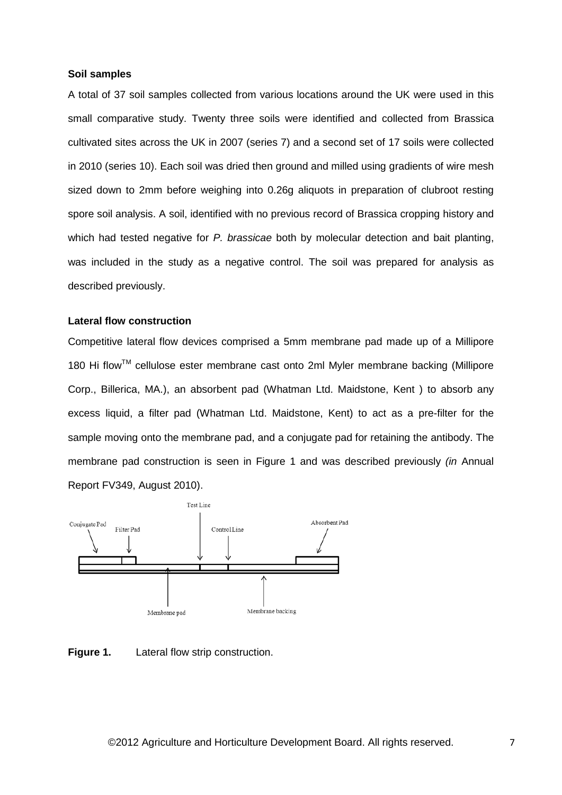### **Soil samples**

A total of 37 soil samples collected from various locations around the UK were used in this small comparative study. Twenty three soils were identified and collected from Brassica cultivated sites across the UK in 2007 (series 7) and a second set of 17 soils were collected in 2010 (series 10). Each soil was dried then ground and milled using gradients of wire mesh sized down to 2mm before weighing into 0.26g aliquots in preparation of clubroot resting spore soil analysis. A soil, identified with no previous record of Brassica cropping history and which had tested negative for *P. brassicae* both by molecular detection and bait planting, was included in the study as a negative control. The soil was prepared for analysis as described previously.

### **Lateral flow construction**

Competitive lateral flow devices comprised a 5mm membrane pad made up of a Millipore 180 Hi flow™ cellulose ester membrane cast onto 2ml Myler membrane backing (Millipore Corp., Billerica, MA.), an absorbent pad [\(Whatman](http://www.whatman.com/) Ltd. Maidstone, Kent ) to absorb any excess liquid, a filter pad [\(Whatman](http://www.whatman.com/) Ltd. Maidstone, Kent) to act as a pre-filter for the sample moving onto the membrane pad, and a conjugate pad for retaining the antibody. The membrane pad construction is seen in Figure 1 and was described previously *(in* Annual Report FV349, August 2010).



**Figure 1.** Lateral flow strip construction.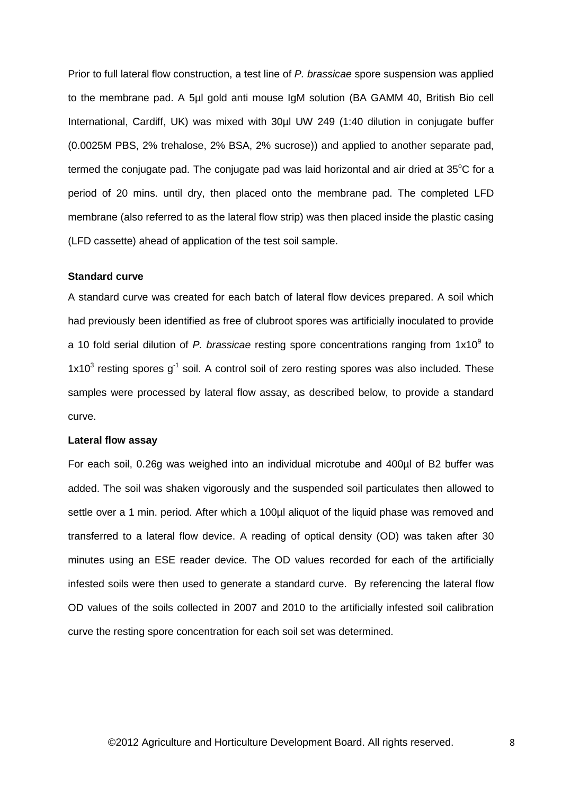Prior to full lateral flow construction, a test line of *P. brassicae* spore suspension was applied to the membrane pad. A 5µl gold anti mouse IgM solution (BA GAMM 40, British Bio cell International, Cardiff, UK) was mixed with 30µl UW 249 (1:40 dilution in conjugate buffer (0.0025M PBS, 2% trehalose, 2% BSA, 2% sucrose)) and applied to another separate pad, termed the conjugate pad. The conjugate pad was laid horizontal and air dried at  $35^{\circ}$ C for a period of 20 mins. until dry, then placed onto the membrane pad. The completed LFD membrane (also referred to as the lateral flow strip) was then placed inside the plastic casing (LFD cassette) ahead of application of the test soil sample.

# **Standard curve**

A standard curve was created for each batch of lateral flow devices prepared. A soil which had previously been identified as free of clubroot spores was artificially inoculated to provide a 10 fold serial dilution of *P. brassicae* resting spore concentrations ranging from 1x10<sup>9</sup> to  $1x10<sup>3</sup>$  resting spores  $q<sup>-1</sup>$  soil. A control soil of zero resting spores was also included. These samples were processed by lateral flow assay, as described below, to provide a standard curve.

### **Lateral flow assay**

For each soil, 0.26g was weighed into an individual microtube and 400µl of B2 buffer was added. The soil was shaken vigorously and the suspended soil particulates then allowed to settle over a 1 min. period. After which a 100µl aliquot of the liquid phase was removed and transferred to a lateral flow device. A reading of optical density (OD) was taken after 30 minutes using an ESE reader device. The OD values recorded for each of the artificially infested soils were then used to generate a standard curve. By referencing the lateral flow OD values of the soils collected in 2007 and 2010 to the artificially infested soil calibration curve the resting spore concentration for each soil set was determined.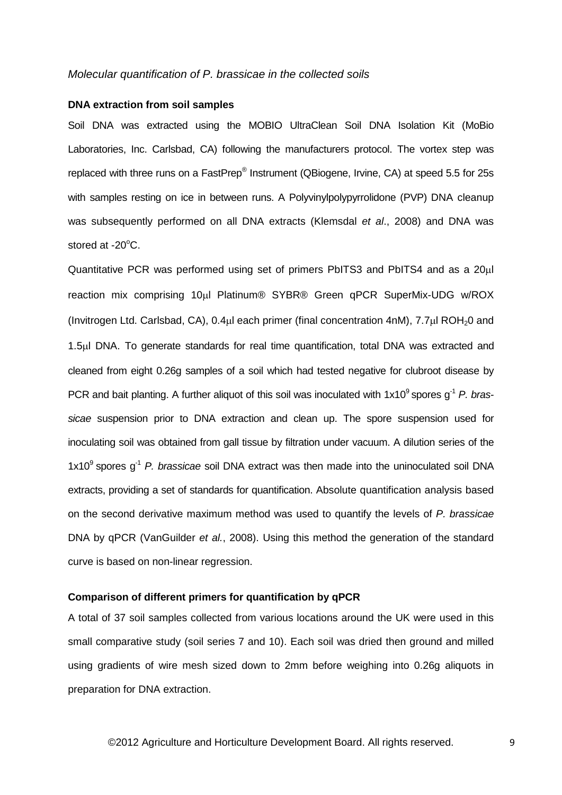### *Molecular quantification of P. brassicae in the collected soils*

### **DNA extraction from soil samples**

Soil DNA was extracted using the MOBIO UltraClean Soil DNA Isolation Kit (MoBio Laboratories, Inc. Carlsbad, CA) following the manufacturers protocol. The vortex step was replaced with three runs on a FastPrep® Instrument (QBiogene, Irvine, CA) at speed 5.5 for 25s with samples resting on ice in between runs. A Polyvinylpolypyrrolidone (PVP) DNA cleanup was subsequently performed on all DNA extracts (Klemsdal *et al*., 2008) and DNA was stored at -20°C.

Quantitative PCR was performed using set of primers PbITS3 and PbITS4 and as a 20µl reaction mix comprising 10µl Platinum® SYBR® Green qPCR SuperMix-UDG w/ROX (Invitrogen Ltd. Carlsbad, CA), 0.4µl each primer (final concentration 4nM), 7.7µl ROH20 and 1.5µl DNA. To generate standards for real time quantification, total DNA was extracted and cleaned from eight 0.26g samples of a soil which had tested negative for clubroot disease by PCR and bait planting. A further aliquot of this soil was inoculated with 1x10<sup>9</sup> spores g<sup>-1</sup> P. bras*sicae* suspension prior to DNA extraction and clean up. The spore suspension used for inoculating soil was obtained from gall tissue by filtration under vacuum. A dilution series of the 1x10<sup>9</sup> spores g<sup>-1</sup> *P. brassicae* soil DNA extract was then made into the uninoculated soil DNA extracts, providing a set of standards for quantification. Absolute quantification analysis based on the second derivative maximum method was used to quantify the levels of *P. brassicae* DNA by qPCR (VanGuilder *et al.*, 2008). Using this method the generation of the standard curve is based on non-linear regression.

### **Comparison of different primers for quantification by qPCR**

A total of 37 soil samples collected from various locations around the UK were used in this small comparative study (soil series 7 and 10). Each soil was dried then ground and milled using gradients of wire mesh sized down to 2mm before weighing into 0.26g aliquots in preparation for DNA extraction.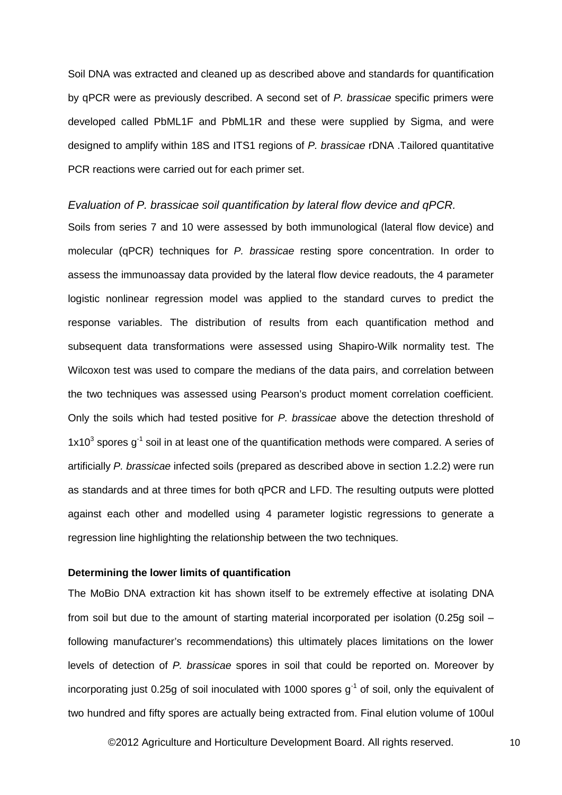Soil DNA was extracted and cleaned up as described above and standards for quantification by qPCR were as previously described. A second set of *P. brassicae* specific primers were developed called PbML1F and PbML1R and these were supplied by Sigma, and were designed to amplify within 18S and ITS1 regions of *P. brassicae* rDNA .Tailored quantitative PCR reactions were carried out for each primer set.

### *Evaluation of P. brassicae soil quantification by lateral flow device and qPCR.*

Soils from series 7 and 10 were assessed by both immunological (lateral flow device) and molecular (qPCR) techniques for *P. brassicae* resting spore concentration. In order to assess the immunoassay data provided by the lateral flow device readouts, the 4 parameter logistic nonlinear regression model was applied to the standard curves to predict the response variables. The distribution of results from each quantification method and subsequent data transformations were assessed using Shapiro-Wilk normality test. The Wilcoxon test was used to compare the medians of the data pairs, and correlation between the two techniques was assessed using Pearson's product moment correlation coefficient. Only the soils which had tested positive for *P. brassicae* above the detection threshold of  $1x10<sup>3</sup>$  spores  $q<sup>-1</sup>$  soil in at least one of the quantification methods were compared. A series of artificially *P. brassicae* infected soils (prepared as described above in section 1.2.2) were run as standards and at three times for both qPCR and LFD. The resulting outputs were plotted against each other and modelled using 4 parameter logistic regressions to generate a regression line highlighting the relationship between the two techniques.

### **Determining the lower limits of quantification**

The MoBio DNA extraction kit has shown itself to be extremely effective at isolating DNA from soil but due to the amount of starting material incorporated per isolation  $(0.25q \text{ soil}$ following manufacturer's recommendations) this ultimately places limitations on the lower levels of detection of *P. brassicae* spores in soil that could be reported on. Moreover by incorporating just 0.25g of soil inoculated with 1000 spores  $q^{-1}$  of soil, only the equivalent of two hundred and fifty spores are actually being extracted from. Final elution volume of 100ul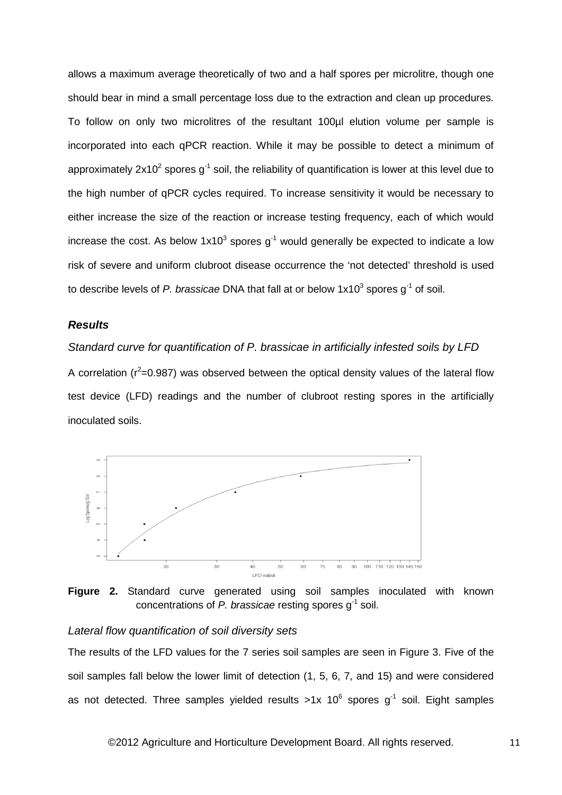allows a maximum average theoretically of two and a half spores per microlitre, though one should bear in mind a small percentage loss due to the extraction and clean up procedures. To follow on only two microlitres of the resultant 100µl elution volume per sample is incorporated into each qPCR reaction. While it may be possible to detect a minimum of approximately  $2x10^2$  spores  $g^{-1}$  soil, the reliability of quantification is lower at this level due to the high number of qPCR cycles required. To increase sensitivity it would be necessary to either increase the size of the reaction or increase testing frequency, each of which would increase the cost. As below  $1x10^3$  spores  $q^{-1}$  would generally be expected to indicate a low risk of severe and uniform clubroot disease occurrence the 'not detected' threshold is used to describe levels of *P. brassicae* DNA that fall at or below 1x10<sup>3</sup> spores g<sup>-1</sup> of soil.

### *Results*

*Standard curve for quantification of P. brassicae in artificially infested soils by LFD* A correlation ( $r^2$ =0.987) was observed between the optical density values of the lateral flow test device (LFD) readings and the number of clubroot resting spores in the artificially inoculated soils.



**Figure 2.** Standard curve generated using soil samples inoculated with known concentrations of *P. brassicae* resting spores g-1 soil.

# *Lateral flow quantification of soil diversity sets*

The results of the LFD values for the 7 series soil samples are seen in Figure 3. Five of the soil samples fall below the lower limit of detection (1, 5, 6, 7, and 15) and were considered as not detected. Three samples yielded results  $>1x$  10<sup>6</sup> spores q<sup>-1</sup> soil. Eight samples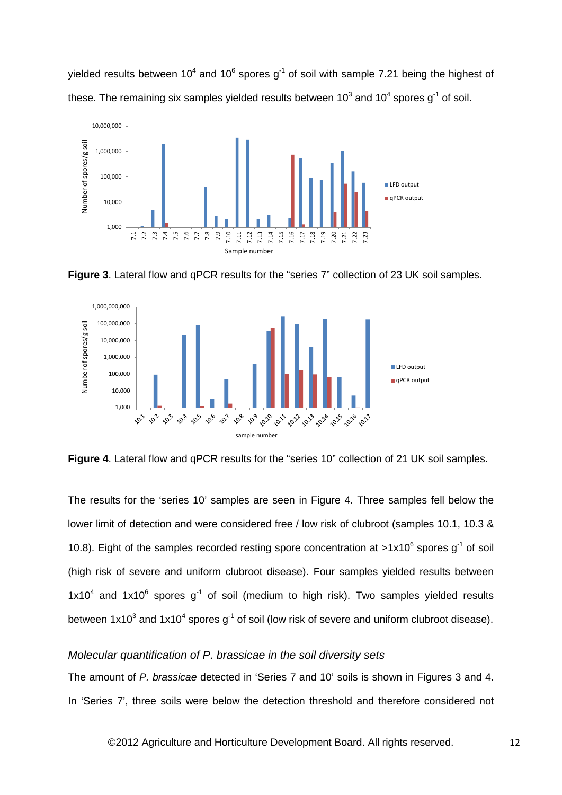yielded results between 10<sup>4</sup> and 10<sup>6</sup> spores  $q^{-1}$  of soil with sample 7.21 being the highest of these. The remaining six samples yielded results between  $10^3$  and  $10^4$  spores g<sup>-1</sup> of soil.



**Figure 3**. Lateral flow and qPCR results for the "series 7" collection of 23 UK soil samples.



**Figure 4**. Lateral flow and qPCR results for the "series 10" collection of 21 UK soil samples.

The results for the 'series 10' samples are seen in Figure 4. Three samples fell below the lower limit of detection and were considered free / low risk of clubroot (samples 10.1, 10.3 & 10.8). Eight of the samples recorded resting spore concentration at  $>1x10^6$  spores g<sup>-1</sup> of soil (high risk of severe and uniform clubroot disease). Four samples yielded results between  $1x10^4$  and  $1x10^6$  spores  $q^1$  of soil (medium to high risk). Two samples yielded results between  $1x10^3$  and  $1x10^4$  spores  $q^{-1}$  of soil (low risk of severe and uniform clubroot disease).

### *Molecular quantification of P. brassicae in the soil diversity sets*

The amount of *P. brassicae* detected in 'Series 7 and 10' soils is shown in Figures 3 and 4. In 'Series 7', three soils were below the detection threshold and therefore considered not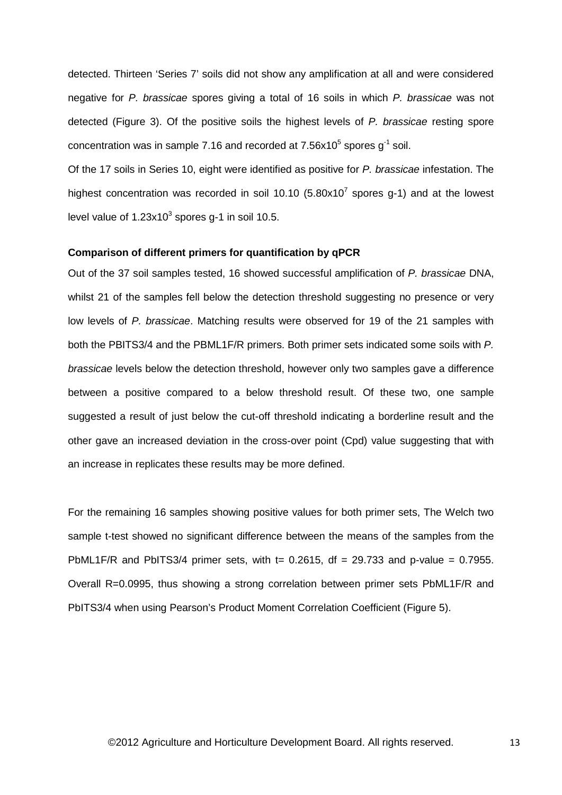detected. Thirteen 'Series 7' soils did not show any amplification at all and were considered negative for *P. brassicae* spores giving a total of 16 soils in which *P. brassicae* was not detected (Figure 3). Of the positive soils the highest levels of *P. brassicae* resting spore concentration was in sample 7.16 and recorded at  $7.56x10^5$  spores  $q^{-1}$  soil.

Of the 17 soils in Series 10, eight were identified as positive for *P. brassicae* infestation. The highest concentration was recorded in soil 10.10  $(5.80x10<sup>7</sup>$  spores g-1) and at the lowest level value of  $1.23x10^3$  spores g-1 in soil 10.5.

### **Comparison of different primers for quantification by qPCR**

Out of the 37 soil samples tested, 16 showed successful amplification of *P. brassicae* DNA, whilst 21 of the samples fell below the detection threshold suggesting no presence or very low levels of *P. brassicae*. Matching results were observed for 19 of the 21 samples with both the PBITS3/4 and the PBML1F/R primers. Both primer sets indicated some soils with *P. brassicae* levels below the detection threshold, however only two samples gave a difference between a positive compared to a below threshold result. Of these two, one sample suggested a result of just below the cut-off threshold indicating a borderline result and the other gave an increased deviation in the cross-over point (Cpd) value suggesting that with an increase in replicates these results may be more defined.

For the remaining 16 samples showing positive values for both primer sets, The Welch two sample t-test showed no significant difference between the means of the samples from the PbML1F/R and PbITS3/4 primer sets, with t= 0.2615, df = 29.733 and p-value = 0.7955. Overall R=0.0995, thus showing a strong correlation between primer sets PbML1F/R and PbITS3/4 when using Pearson's Product Moment Correlation Coefficient (Figure 5).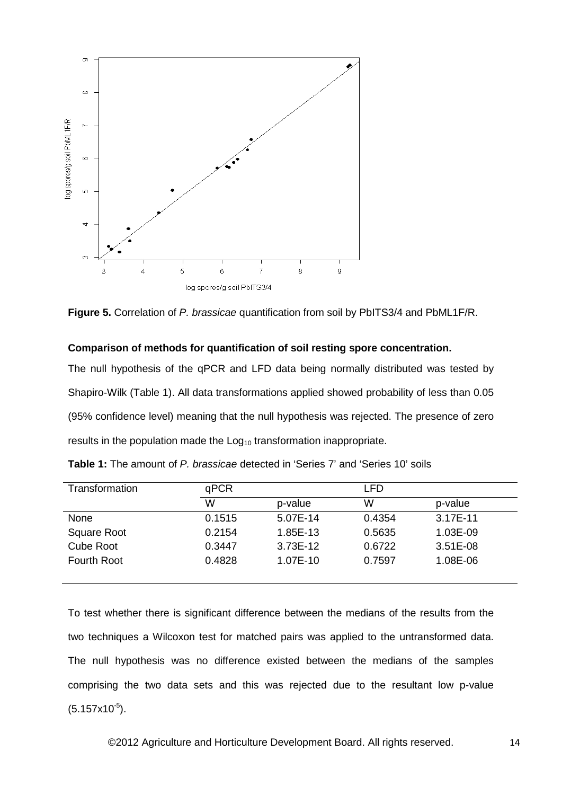

**Figure 5.** Correlation of *P. brassicae* quantification from soil by PbITS3/4 and PbML1F/R.

### **Comparison of methods for quantification of soil resting spore concentration.**

The null hypothesis of the qPCR and LFD data being normally distributed was tested by Shapiro-Wilk (Table 1). All data transformations applied showed probability of less than 0.05 (95% confidence level) meaning that the null hypothesis was rejected. The presence of zero results in the population made the  $Log<sub>10</sub>$  transformation inappropriate.

| Transformation     | qPCR   |          | LFD    |            |  |  |
|--------------------|--------|----------|--------|------------|--|--|
|                    | W      | p-value  | W      | p-value    |  |  |
| None               | 0.1515 | 5.07E-14 | 0.4354 | 3.17E-11   |  |  |
| Square Root        | 0.2154 | 1.85E-13 | 0.5635 | 1.03E-09   |  |  |
| <b>Cube Root</b>   | 0.3447 | 3.73E-12 | 0.6722 | $3.51E-08$ |  |  |
| <b>Fourth Root</b> | 0.4828 | 1.07E-10 | 0.7597 | 1.08E-06   |  |  |

**Table 1:** The amount of *P. brassicae* detected in 'Series 7' and 'Series 10' soils

To test whether there is significant difference between the medians of the results from the two techniques a Wilcoxon test for matched pairs was applied to the untransformed data. The null hypothesis was no difference existed between the medians of the samples comprising the two data sets and this was rejected due to the resultant low p-value  $(5.157x10^{-5})$ .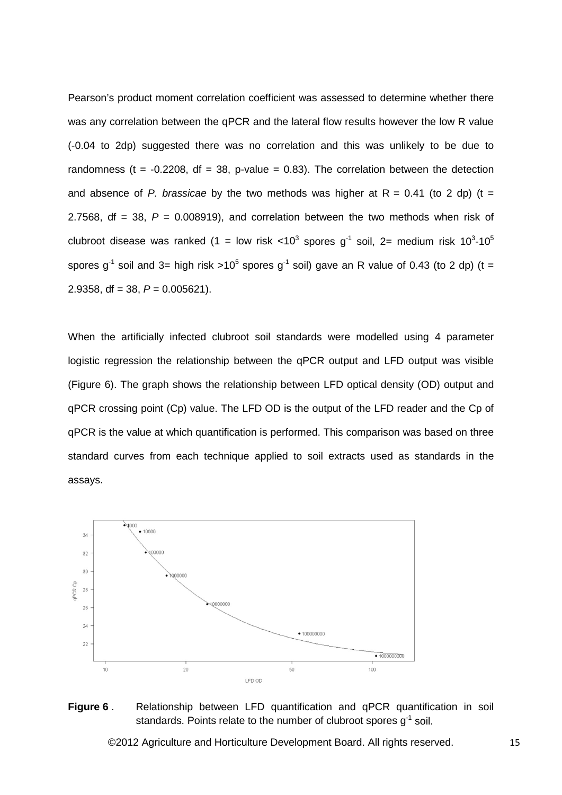Pearson's product moment correlation coefficient was assessed to determine whether there was any correlation between the qPCR and the lateral flow results however the low R value (-0.04 to 2dp) suggested there was no correlation and this was unlikely to be due to randomness (t =  $-0.2208$ , df = 38, p-value = 0.83). The correlation between the detection and absence of *P. brassicae* by the two methods was higher at  $R = 0.41$  (to 2 dp) (t = 2.7568,  $df = 38$ ,  $P = 0.008919$ ), and correlation between the two methods when risk of clubroot disease was ranked (1 = low risk <10<sup>3</sup> spores g<sup>-1</sup> soil, 2= medium risk 10<sup>3</sup>-10<sup>5</sup> spores  $g^{-1}$  soil and 3= high risk >10<sup>5</sup> spores  $g^{-1}$  soil) gave an R value of 0.43 (to 2 dp) (t = 2.9358, df =  $38, P = 0.005621$ .

When the artificially infected clubroot soil standards were modelled using 4 parameter logistic regression the relationship between the qPCR output and LFD output was visible (Figure 6). The graph shows the relationship between LFD optical density (OD) output and qPCR crossing point (Cp) value. The LFD OD is the output of the LFD reader and the Cp of qPCR is the value at which quantification is performed. This comparison was based on three standard curves from each technique applied to soil extracts used as standards in the assays.



# **Figure 6** . Relationship between LFD quantification and qPCR quantification in soil standards. Points relate to the number of clubroot spores  $q^{-1}$  soil.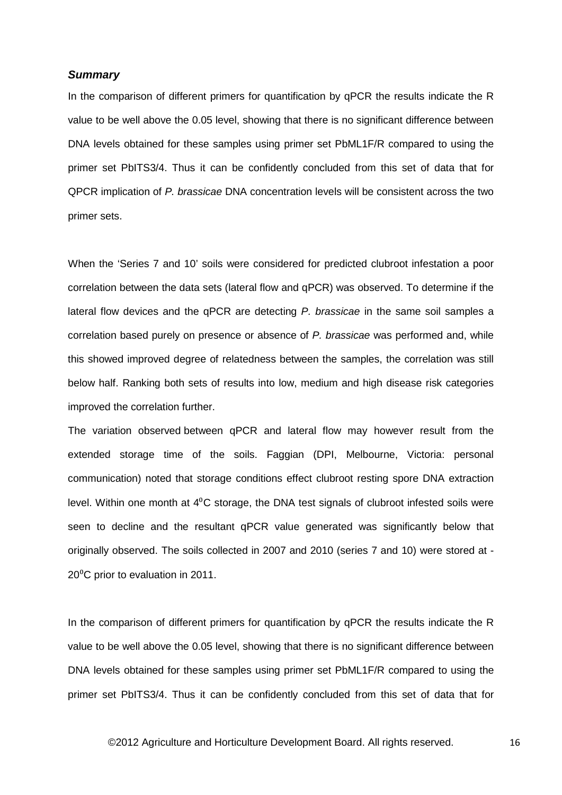### *Summary*

In the comparison of different primers for quantification by qPCR the results indicate the R value to be well above the 0.05 level, showing that there is no significant difference between DNA levels obtained for these samples using primer set PbML1F/R compared to using the primer set PbITS3/4. Thus it can be confidently concluded from this set of data that for QPCR implication of *P. brassicae* DNA concentration levels will be consistent across the two primer sets.

When the 'Series 7 and 10' soils were considered for predicted clubroot infestation a poor correlation between the data sets (lateral flow and qPCR) was observed. To determine if the lateral flow devices and the qPCR are detecting *P. brassicae* in the same soil samples a correlation based purely on presence or absence of *P. brassicae* was performed and, while this showed improved degree of relatedness between the samples, the correlation was still below half. Ranking both sets of results into low, medium and high disease risk categories improved the correlation further.

The variation observed between qPCR and lateral flow may however result from the extended storage time of the soils. Faggian (DPI, Melbourne, Victoria: personal communication) noted that storage conditions effect clubroot resting spore DNA extraction level. Within one month at  $4^0C$  storage, the DNA test signals of clubroot infested soils were seen to decline and the resultant qPCR value generated was significantly below that originally observed. The soils collected in 2007 and 2010 (series 7 and 10) were stored at - 20<sup>°</sup>C prior to evaluation in 2011.

In the comparison of different primers for quantification by qPCR the results indicate the R value to be well above the 0.05 level, showing that there is no significant difference between DNA levels obtained for these samples using primer set PbML1F/R compared to using the primer set PbITS3/4. Thus it can be confidently concluded from this set of data that for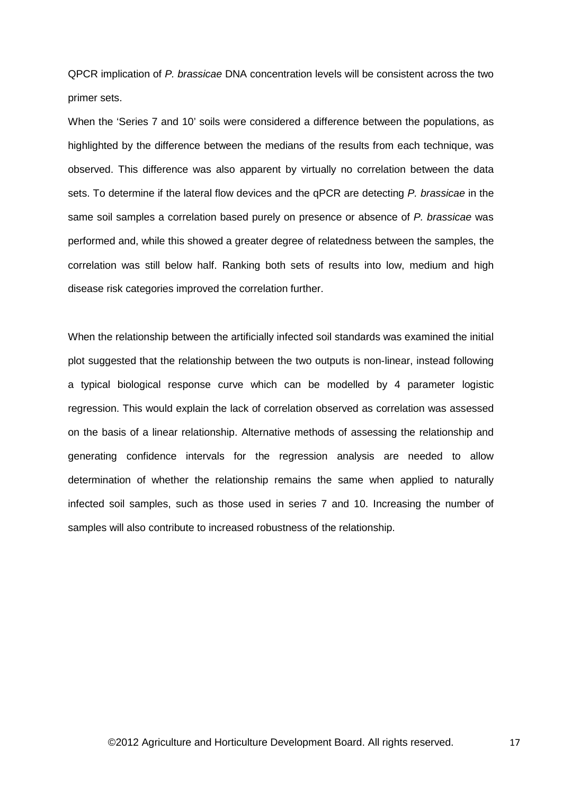QPCR implication of *P. brassicae* DNA concentration levels will be consistent across the two primer sets.

When the 'Series 7 and 10' soils were considered a difference between the populations, as highlighted by the difference between the medians of the results from each technique, was observed. This difference was also apparent by virtually no correlation between the data sets. To determine if the lateral flow devices and the qPCR are detecting *P. brassicae* in the same soil samples a correlation based purely on presence or absence of *P. brassicae* was performed and, while this showed a greater degree of relatedness between the samples, the correlation was still below half. Ranking both sets of results into low, medium and high disease risk categories improved the correlation further.

When the relationship between the artificially infected soil standards was examined the initial plot suggested that the relationship between the two outputs is non-linear, instead following a typical biological response curve which can be modelled by 4 parameter logistic regression. This would explain the lack of correlation observed as correlation was assessed on the basis of a linear relationship. Alternative methods of assessing the relationship and generating confidence intervals for the regression analysis are needed to allow determination of whether the relationship remains the same when applied to naturally infected soil samples, such as those used in series 7 and 10. Increasing the number of samples will also contribute to increased robustness of the relationship.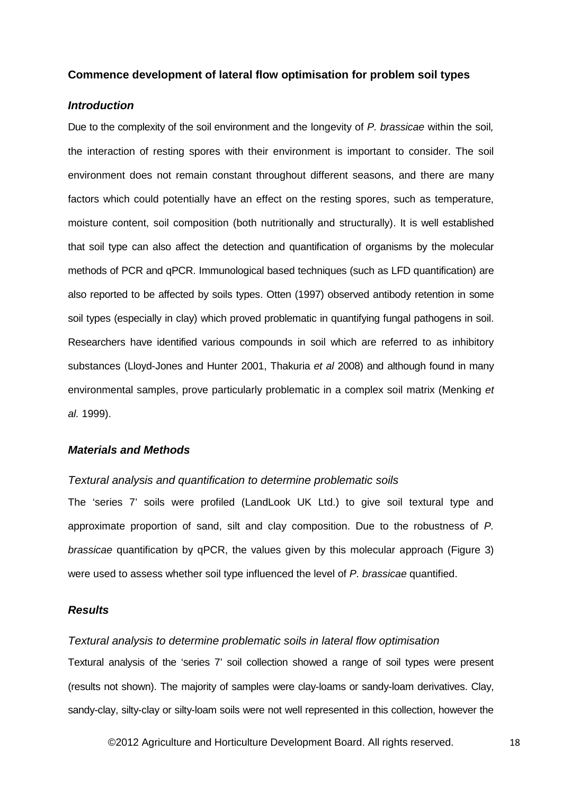### **Commence development of lateral flow optimisation for problem soil types**

### *Introduction*

Due to the complexity of the soil environment and the longevity of *P. brassicae* within the soil*,*  the interaction of resting spores with their environment is important to consider. The soil environment does not remain constant throughout different seasons, and there are many factors which could potentially have an effect on the resting spores, such as temperature, moisture content, soil composition (both nutritionally and structurally). It is well established that soil type can also affect the detection and quantification of organisms by the molecular methods of PCR and qPCR. Immunological based techniques (such as LFD quantification) are also reported to be affected by soils types. Otten (1997) observed antibody retention in some soil types (especially in clay) which proved problematic in quantifying fungal pathogens in soil. Researchers have identified various compounds in soil which are referred to as inhibitory substances (Lloyd-Jones and Hunter 2001, Thakuria *et al* 2008) and although found in many environmental samples, prove particularly problematic in a complex soil matrix (Menking *et al.* 1999).

# *Materials and Methods*

### *Textural analysis and quantification to determine problematic soils*

The 'series 7' soils were profiled (LandLook UK Ltd.) to give soil textural type and approximate proportion of sand, silt and clay composition. Due to the robustness of *P. brassicae* quantification by qPCR, the values given by this molecular approach (Figure 3) were used to assess whether soil type influenced the level of *P. brassicae* quantified.

### *Results*

### *Textural analysis to determine problematic soils in lateral flow optimisation*

Textural analysis of the 'series 7' soil collection showed a range of soil types were present (results not shown). The majority of samples were clay-loams or sandy-loam derivatives. Clay, sandy-clay, silty-clay or silty-loam soils were not well represented in this collection, however the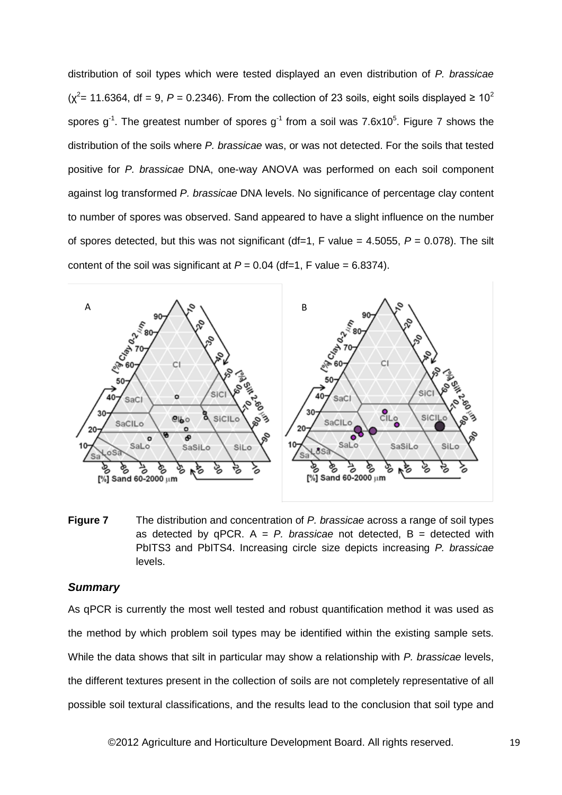distribution of soil types which were tested displayed an even distribution of *P. brassicae*  $(\chi^2$  = 11.6364, df = 9, *P* = 0.2346). From the collection of 23 soils, eight soils displayed  $\geq 10^2$ spores g<sup>-1</sup>. The greatest number of spores g<sup>-1</sup> from a soil was 7.6x10<sup>5</sup>. Figure 7 shows the distribution of the soils where *P. brassicae* was, or was not detected. For the soils that tested positive for *P. brassicae* DNA, one-way ANOVA was performed on each soil component against log transformed *P. brassicae* DNA levels. No significance of percentage clay content to number of spores was observed. Sand appeared to have a slight influence on the number of spores detected, but this was not significant (df=1, F value = 4.5055, *P* = 0.078). The silt content of the soil was significant at  $P = 0.04$  (df=1, F value = 6.8374).



**Figure 7** The distribution and concentration of *P. brassicae* across a range of soil types as detected by  $qPCR$ .  $A = P$ . *brassicae* not detected,  $B =$  detected with PbITS3 and PbITS4. Increasing circle size depicts increasing *P. brassicae* levels.

# *Summary*

As qPCR is currently the most well tested and robust quantification method it was used as the method by which problem soil types may be identified within the existing sample sets. While the data shows that silt in particular may show a relationship with *P. brassicae* levels, the different textures present in the collection of soils are not completely representative of all possible soil textural classifications, and the results lead to the conclusion that soil type and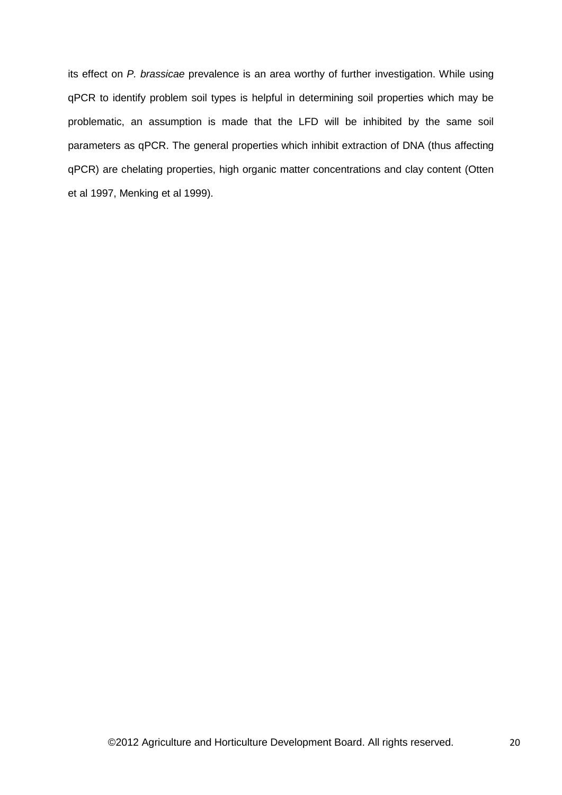its effect on *P. brassicae* prevalence is an area worthy of further investigation. While using qPCR to identify problem soil types is helpful in determining soil properties which may be problematic, an assumption is made that the LFD will be inhibited by the same soil parameters as qPCR. The general properties which inhibit extraction of DNA (thus affecting qPCR) are chelating properties, high organic matter concentrations and clay content (Otten et al 1997, Menking et al 1999).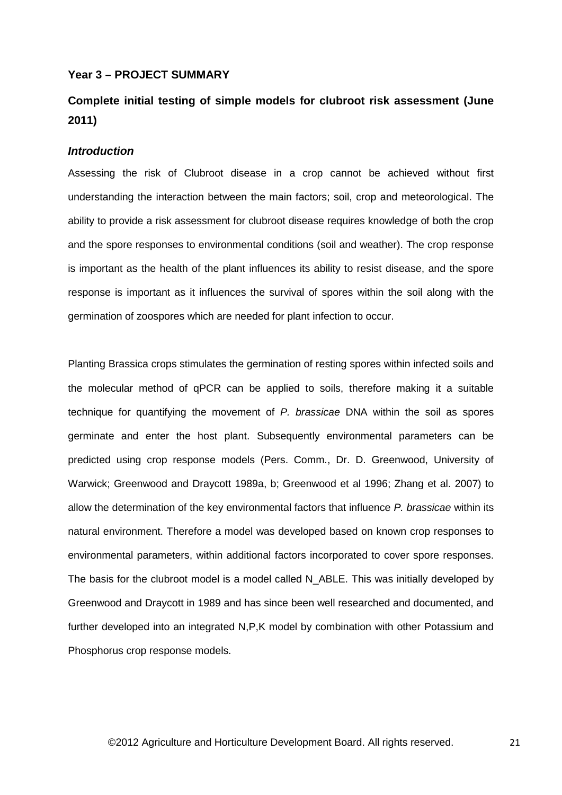### **Year 3 – PROJECT SUMMARY**

# **Complete initial testing of simple models for clubroot risk assessment (June 2011)**

### *Introduction*

Assessing the risk of Clubroot disease in a crop cannot be achieved without first understanding the interaction between the main factors; soil, crop and meteorological. The ability to provide a risk assessment for clubroot disease requires knowledge of both the crop and the spore responses to environmental conditions (soil and weather). The crop response is important as the health of the plant influences its ability to resist disease, and the spore response is important as it influences the survival of spores within the soil along with the germination of zoospores which are needed for plant infection to occur.

Planting Brassica crops stimulates the germination of resting spores within infected soils and the molecular method of qPCR can be applied to soils, therefore making it a suitable technique for quantifying the movement of *P. brassicae* DNA within the soil as spores germinate and enter the host plant. Subsequently environmental parameters can be predicted using crop response models (Pers. Comm., Dr. D. Greenwood, University of Warwick; Greenwood and Draycott 1989a, b; Greenwood et al 1996; Zhang et al. 2007) to allow the determination of the key environmental factors that influence *P. brassicae* within its natural environment. Therefore a model was developed based on known crop responses to environmental parameters, within additional factors incorporated to cover spore responses. The basis for the clubroot model is a model called N\_ABLE. This was initially developed by Greenwood and Draycott in 1989 and has since been well researched and documented, and further developed into an integrated N,P,K model by combination with other Potassium and Phosphorus crop response models.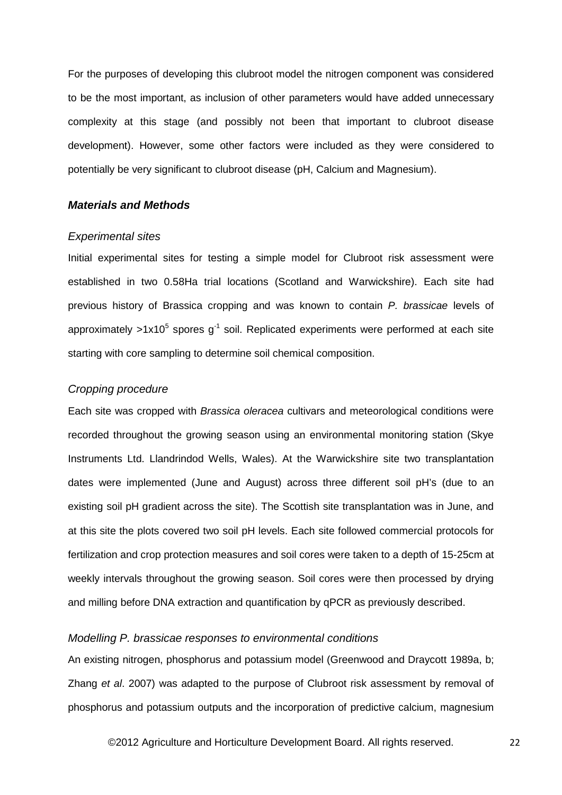For the purposes of developing this clubroot model the nitrogen component was considered to be the most important, as inclusion of other parameters would have added unnecessary complexity at this stage (and possibly not been that important to clubroot disease development). However, some other factors were included as they were considered to potentially be very significant to clubroot disease (pH, Calcium and Magnesium).

### *Materials and Methods*

### *Experimental sites*

Initial experimental sites for testing a simple model for Clubroot risk assessment were established in two 0.58Ha trial locations (Scotland and Warwickshire). Each site had previous history of Brassica cropping and was known to contain *P. brassicae* levels of approximately  $>1x10^5$  spores  $q^{-1}$  soil. Replicated experiments were performed at each site starting with core sampling to determine soil chemical composition.

# *Cropping procedure*

Each site was cropped with *Brassica oleracea* cultivars and meteorological conditions were recorded throughout the growing season using an environmental monitoring station (Skye Instruments Ltd. Llandrindod Wells, Wales). At the Warwickshire site two transplantation dates were implemented (June and August) across three different soil pH's (due to an existing soil pH gradient across the site). The Scottish site transplantation was in June, and at this site the plots covered two soil pH levels. Each site followed commercial protocols for fertilization and crop protection measures and soil cores were taken to a depth of 15-25cm at weekly intervals throughout the growing season. Soil cores were then processed by drying and milling before DNA extraction and quantification by qPCR as previously described.

### *Modelling P. brassicae responses to environmental conditions*

An existing nitrogen, phosphorus and potassium model (Greenwood and Draycott 1989a, b; Zhang *et al*. 2007) was adapted to the purpose of Clubroot risk assessment by removal of phosphorus and potassium outputs and the incorporation of predictive calcium, magnesium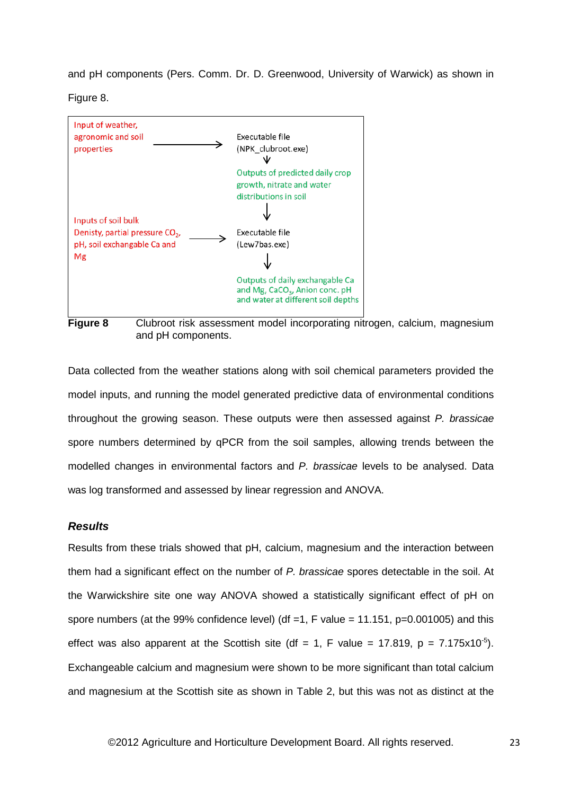and pH components (Pers. Comm. Dr. D. Greenwood, University of Warwick) as shown in

Figure 8.



**Figure 8** Clubroot risk assessment model incorporating nitrogen, calcium, magnesium and pH components.

Data collected from the weather stations along with soil chemical parameters provided the model inputs, and running the model generated predictive data of environmental conditions throughout the growing season. These outputs were then assessed against *P. brassicae* spore numbers determined by qPCR from the soil samples, allowing trends between the modelled changes in environmental factors and *P. brassicae* levels to be analysed. Data was log transformed and assessed by linear regression and ANOVA.

### *Results*

Results from these trials showed that pH, calcium, magnesium and the interaction between them had a significant effect on the number of *P. brassicae* spores detectable in the soil. At the Warwickshire site one way ANOVA showed a statistically significant effect of pH on spore numbers (at the 99% confidence level) (df =1, F value = 11.151,  $p=0.001005$ ) and this effect was also apparent at the Scottish site (df = 1, F value = 17.819, p = 7.175x10<sup>-5</sup>). Exchangeable calcium and magnesium were shown to be more significant than total calcium and magnesium at the Scottish site as shown in Table 2, but this was not as distinct at the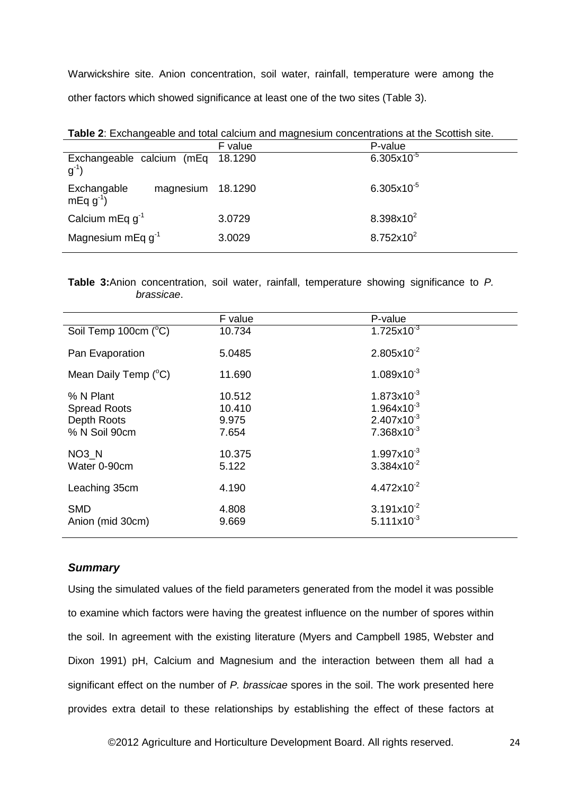Warwickshire site. Anion concentration, soil water, rainfall, temperature were among the other factors which showed significance at least one of the two sites (Table 3).

| <b>Table 2:</b> Exchangeable and total calcium and magnesium concentrations at the Scottish site. |                       |  |  |  |  |  |  |
|---------------------------------------------------------------------------------------------------|-----------------------|--|--|--|--|--|--|
| F value                                                                                           | P-value               |  |  |  |  |  |  |
| 18.1290                                                                                           | $6.305x10^{-5}$       |  |  |  |  |  |  |
| 18.1290                                                                                           | $6.305x10^{-5}$       |  |  |  |  |  |  |
| 3.0729                                                                                            | $8.398x10^{2}$        |  |  |  |  |  |  |
| 3.0029                                                                                            | $8.752 \times 10^{2}$ |  |  |  |  |  |  |
|                                                                                                   |                       |  |  |  |  |  |  |

**Table 2**: Exchangeable and total calcium and magnesium concentrations at the Scottish site.

**Table 3:**Anion concentration, soil water, rainfall, temperature showing significance to *P. brassicae*.

|                                  | F value | P-value                |  |  |
|----------------------------------|---------|------------------------|--|--|
| Soil Temp 100cm (°C)             | 10.734  | $1.725x10^{-3}$        |  |  |
| Pan Evaporation                  | 5.0485  | $2.805x10^{-2}$        |  |  |
| Mean Daily Temp $(^{\circ}C)$    | 11.690  | $1.089x10^{-3}$        |  |  |
| % N Plant                        | 10.512  | $1.873 \times 10^{-3}$ |  |  |
| <b>Spread Roots</b>              | 10.410  | $1.964\times10^{-3}$   |  |  |
| Depth Roots                      | 9.975   | $2.407x10^{-3}$        |  |  |
| % N Soil 90cm                    | 7.654   | $7.368\times10^{-3}$   |  |  |
| $NO3$ <sub>_<math>N</math></sub> | 10.375  | $1.997x10^{-3}$        |  |  |
| Water 0-90cm                     | 5.122   | $3.384\times10^{-2}$   |  |  |
| Leaching 35cm                    | 4.190   | $4.472\times10^{-2}$   |  |  |
| <b>SMD</b>                       | 4.808   | $3.191x10^{-2}$        |  |  |
| Anion (mid 30cm)                 | 9.669   | $5.111x10^{-3}$        |  |  |
|                                  |         |                        |  |  |

# *Summary*

Using the simulated values of the field parameters generated from the model it was possible to examine which factors were having the greatest influence on the number of spores within the soil. In agreement with the existing literature (Myers and Campbell 1985, Webster and Dixon 1991) pH, Calcium and Magnesium and the interaction between them all had a significant effect on the number of *P. brassicae* spores in the soil. The work presented here provides extra detail to these relationships by establishing the effect of these factors at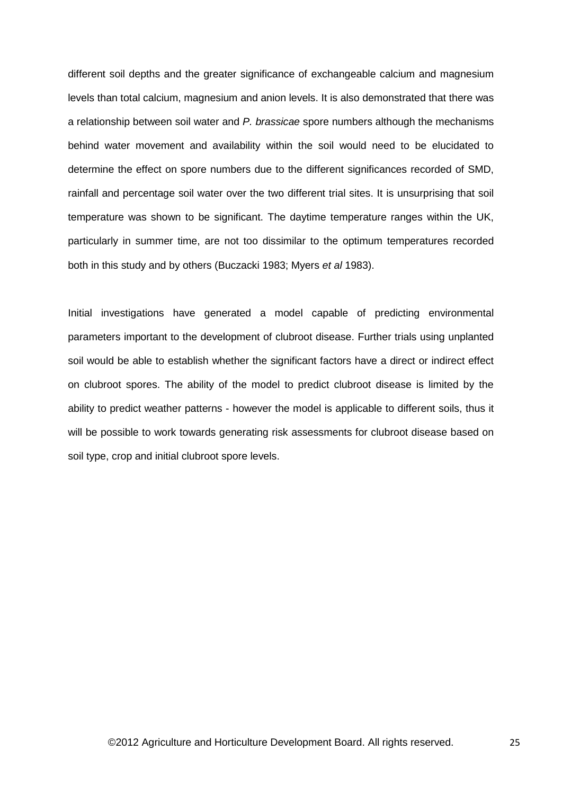different soil depths and the greater significance of exchangeable calcium and magnesium levels than total calcium, magnesium and anion levels. It is also demonstrated that there was a relationship between soil water and *P. brassicae* spore numbers although the mechanisms behind water movement and availability within the soil would need to be elucidated to determine the effect on spore numbers due to the different significances recorded of SMD, rainfall and percentage soil water over the two different trial sites. It is unsurprising that soil temperature was shown to be significant. The daytime temperature ranges within the UK, particularly in summer time, are not too dissimilar to the optimum temperatures recorded both in this study and by others (Buczacki 1983; Myers *et al* 1983).

Initial investigations have generated a model capable of predicting environmental parameters important to the development of clubroot disease. Further trials using unplanted soil would be able to establish whether the significant factors have a direct or indirect effect on clubroot spores. The ability of the model to predict clubroot disease is limited by the ability to predict weather patterns - however the model is applicable to different soils, thus it will be possible to work towards generating risk assessments for clubroot disease based on soil type, crop and initial clubroot spore levels.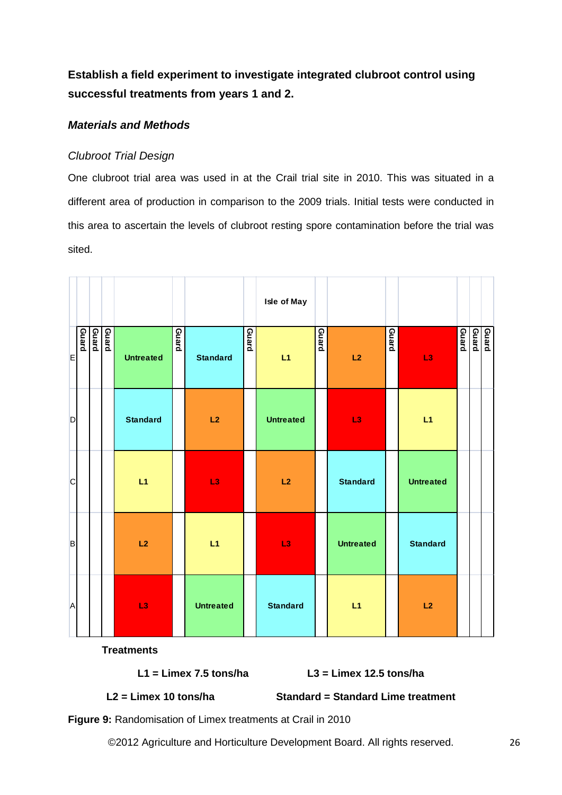**Establish a field experiment to investigate integrated clubroot control using successful treatments from years 1 and 2.**

# *Materials and Methods*

# *Clubroot Trial Design*

One clubroot trial area was used in at the Crail trial site in 2010. This was situated in a different area of production in comparison to the 2009 trials. Initial tests were conducted in this area to ascertain the levels of clubroot resting spore contamination before the trial was sited.

|              |                |       |                  |              |                  |              | Isle of May      |              |                  |              |                  |       |                |
|--------------|----------------|-------|------------------|--------------|------------------|--------------|------------------|--------------|------------------|--------------|------------------|-------|----------------|
| E            | Guard<br>Guard | Guard | <b>Untreated</b> | <b>Guard</b> | <b>Standard</b>  | <b>Guard</b> | L1               | <b>Guard</b> | L2               | <b>Guard</b> | L <sub>3</sub>   | pueng | Guard<br>Guard |
| $\mathsf{D}$ |                |       | <b>Standard</b>  |              | L2               |              | <b>Untreated</b> |              | L <sub>3</sub>   |              | L1               |       |                |
| $\mathsf{C}$ |                |       | L1               |              | L <sub>3</sub>   |              | L2               |              | <b>Standard</b>  |              | <b>Untreated</b> |       |                |
| $\mathsf B$  |                |       | L2               |              | L1               |              | L3               |              | <b>Untreated</b> |              | <b>Standard</b>  |       |                |
| $\mathsf{A}$ |                |       | L <sub>3</sub>   |              | <b>Untreated</b> |              | <b>Standard</b>  |              | L1               |              | L2               |       |                |

**Treatments** 

**L1 = Limex 7.5 tons/ha L3 = Limex 12.5 tons/ha**

**L2 = Limex 10 tons/ha Standard = Standard Lime treatment**

**Figure 9:** Randomisation of Limex treatments at Crail in 2010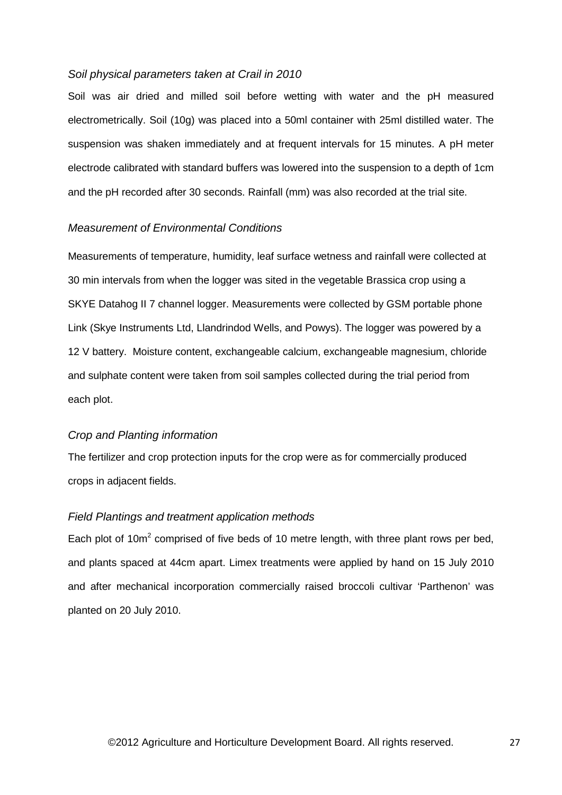### *Soil physical parameters taken at Crail in 2010*

Soil was air dried and milled soil before wetting with water and the pH measured electrometrically. Soil (10g) was placed into a 50ml container with 25ml distilled water. The suspension was shaken immediately and at frequent intervals for 15 minutes. A pH meter electrode calibrated with standard buffers was lowered into the suspension to a depth of 1cm and the pH recorded after 30 seconds. Rainfall (mm) was also recorded at the trial site.

### *Measurement of Environmental Conditions*

Measurements of temperature, humidity, leaf surface wetness and rainfall were collected at 30 min intervals from when the logger was sited in the vegetable Brassica crop using a SKYE Datahog II 7 channel logger. Measurements were collected by GSM portable phone Link (Skye Instruments Ltd, Llandrindod Wells, and Powys). The logger was powered by a 12 V battery. Moisture content, exchangeable calcium, exchangeable magnesium, chloride and sulphate content were taken from soil samples collected during the trial period from each plot.

### *Crop and Planting information*

The fertilizer and crop protection inputs for the crop were as for commercially produced crops in adjacent fields.

# *Field Plantings and treatment application methods*

Each plot of  $10m^2$  comprised of five beds of 10 metre length, with three plant rows per bed, and plants spaced at 44cm apart. Limex treatments were applied by hand on 15 July 2010 and after mechanical incorporation commercially raised broccoli cultivar 'Parthenon' was planted on 20 July 2010.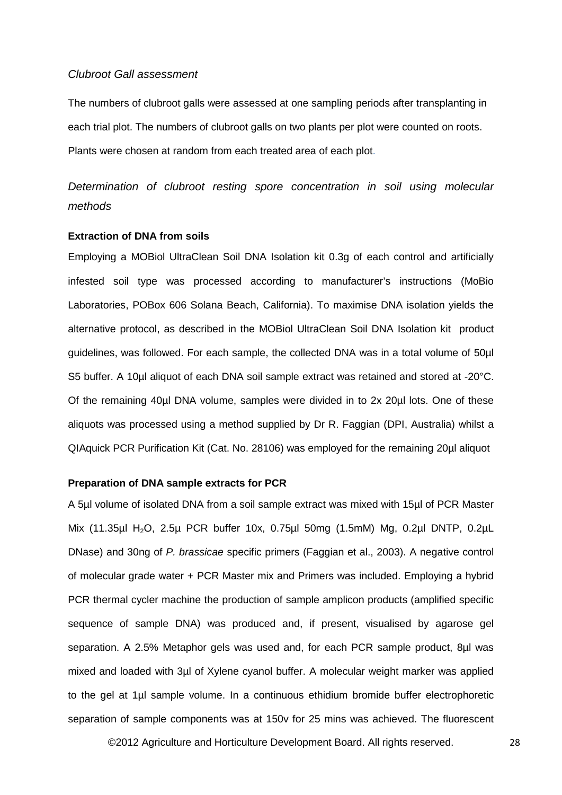### *Clubroot Gall assessment*

The numbers of clubroot galls were assessed at one sampling periods after transplanting in each trial plot. The numbers of clubroot galls on two plants per plot were counted on roots. Plants were chosen at random from each treated area of each plot.

*Determination of clubroot resting spore concentration in soil using molecular methods*

### **Extraction of DNA from soils**

Employing a MOBiol UltraClean Soil DNA Isolation kit 0.3g of each control and artificially infested soil type was processed according to manufacturer's instructions (MoBio Laboratories, POBox 606 Solana Beach, California). To maximise DNA isolation yields the alternative protocol, as described in the MOBiol UltraClean Soil DNA Isolation kit product guidelines, was followed. For each sample, the collected DNA was in a total volume of 50µl S5 buffer. A 10µl aliquot of each DNA soil sample extract was retained and stored at -20°C. Of the remaining 40µl DNA volume, samples were divided in to 2x 20µl lots. One of these aliquots was processed using a method supplied by Dr R. Faggian (DPI, Australia) whilst a QIAquick PCR Purification Kit (Cat. No. 28106) was employed for the remaining 20µl aliquot

### **Preparation of DNA sample extracts for PCR**

A 5µl volume of isolated DNA from a soil sample extract was mixed with 15µl of PCR Master Mix (11.35µl H2O, 2.5µ PCR buffer 10x, 0.75µl 50mg (1.5mM) Mg, 0.2µl DNTP, 0.2µL DNase) and 30ng of *P. brassicae* specific primers (Faggian et al., 2003). A negative control of molecular grade water + PCR Master mix and Primers was included. Employing a hybrid PCR thermal cycler machine the production of sample amplicon products (amplified specific sequence of sample DNA) was produced and, if present, visualised by agarose gel separation. A 2.5% Metaphor gels was used and, for each PCR sample product, 8µl was mixed and loaded with 3µl of Xylene cyanol buffer. A molecular weight marker was applied to the gel at 1µl sample volume. In a continuous ethidium bromide buffer electrophoretic separation of sample components was at 150v for 25 mins was achieved. The fluorescent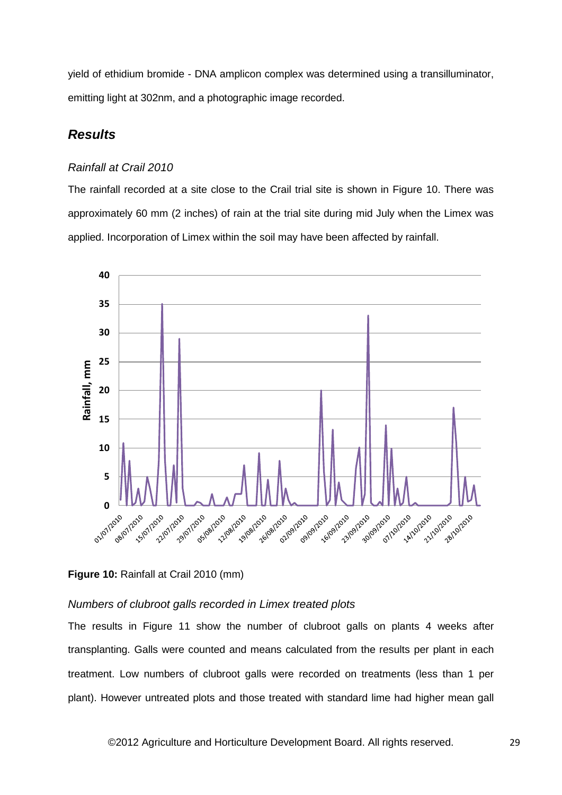yield of ethidium bromide - DNA amplicon complex was determined using a transilluminator, emitting light at 302nm, and a photographic image recorded.

# *Results*

### *Rainfall at Crail 2010*

The rainfall recorded at a site close to the Crail trial site is shown in Figure 10. There was approximately 60 mm (2 inches) of rain at the trial site during mid July when the Limex was applied. Incorporation of Limex within the soil may have been affected by rainfall.



### **Figure 10: Rainfall at Crail 2010 (mm)**

# *Numbers of clubroot galls recorded in Limex treated plots*

The results in Figure 11 show the number of clubroot galls on plants 4 weeks after transplanting. Galls were counted and means calculated from the results per plant in each treatment. Low numbers of clubroot galls were recorded on treatments (less than 1 per plant). However untreated plots and those treated with standard lime had higher mean gall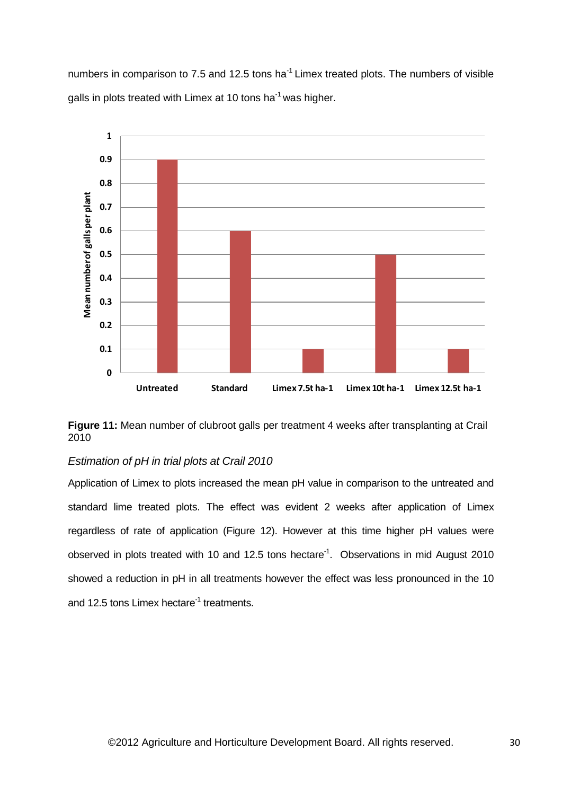numbers in comparison to 7.5 and 12.5 tons ha $^{-1}$  Limex treated plots. The numbers of visible galls in plots treated with Limex at 10 tons ha<sup>-1</sup> was higher.



**Figure 11:** Mean number of clubroot galls per treatment 4 weeks after transplanting at Crail 2010

# *Estimation of pH in trial plots at Crail 2010*

Application of Limex to plots increased the mean pH value in comparison to the untreated and standard lime treated plots. The effect was evident 2 weeks after application of Limex regardless of rate of application (Figure 12). However at this time higher pH values were observed in plots treated with 10 and 12.5 tons hectare<sup>-1</sup>. Observations in mid August 2010 showed a reduction in pH in all treatments however the effect was less pronounced in the 10 and 12.5 tons Limex hectare<sup>-1</sup> treatments.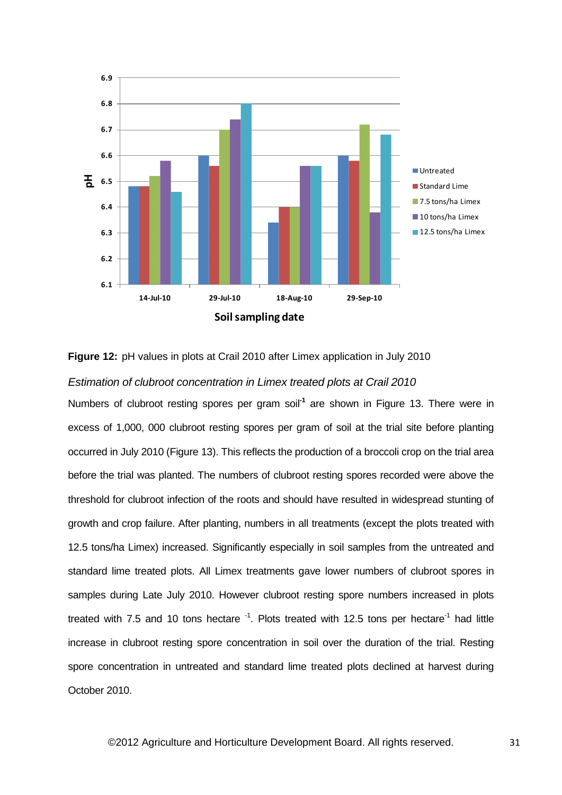

**Figure 12:** pH values in plots at Crail 2010 after Limex application in July 2010

### *Estimation of clubroot concentration in Limex treated plots at Crail 2010*

Numbers of clubroot resting spores per gram soil<sup>-1</sup> are shown in Figure 13. There were in excess of 1,000, 000 clubroot resting spores per gram of soil at the trial site before planting occurred in July 2010 (Figure 13). This reflects the production of a broccoli crop on the trial area before the trial was planted. The numbers of clubroot resting spores recorded were above the threshold for clubroot infection of the roots and should have resulted in widespread stunting of growth and crop failure. After planting, numbers in all treatments (except the plots treated with 12.5 tons/ha Limex) increased. Significantly especially in soil samples from the untreated and standard lime treated plots. All Limex treatments gave lower numbers of clubroot spores in samples during Late July 2010. However clubroot resting spore numbers increased in plots treated with 7.5 and 10 tons hectare  $^{-1}$ . Plots treated with 12.5 tons per hectare<sup>-1</sup> had little increase in clubroot resting spore concentration in soil over the duration of the trial. Resting spore concentration in untreated and standard lime treated plots declined at harvest during October 2010.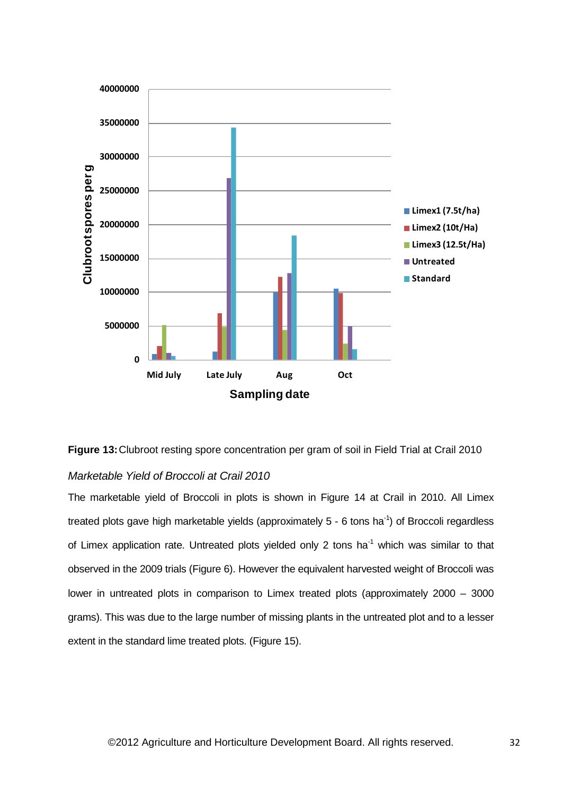



### *Marketable Yield of Broccoli at Crail 2010*

The marketable yield of Broccoli in plots is shown in Figure 14 at Crail in 2010. All Limex treated plots gave high marketable yields (approximately  $5$  - 6 tons ha<sup>-1</sup>) of Broccoli regardless of Limex application rate. Untreated plots yielded only 2 tons ha<sup>-1</sup> which was similar to that observed in the 2009 trials (Figure 6). However the equivalent harvested weight of Broccoli was lower in untreated plots in comparison to Limex treated plots (approximately 2000 – 3000 grams). This was due to the large number of missing plants in the untreated plot and to a lesser extent in the standard lime treated plots. (Figure 15).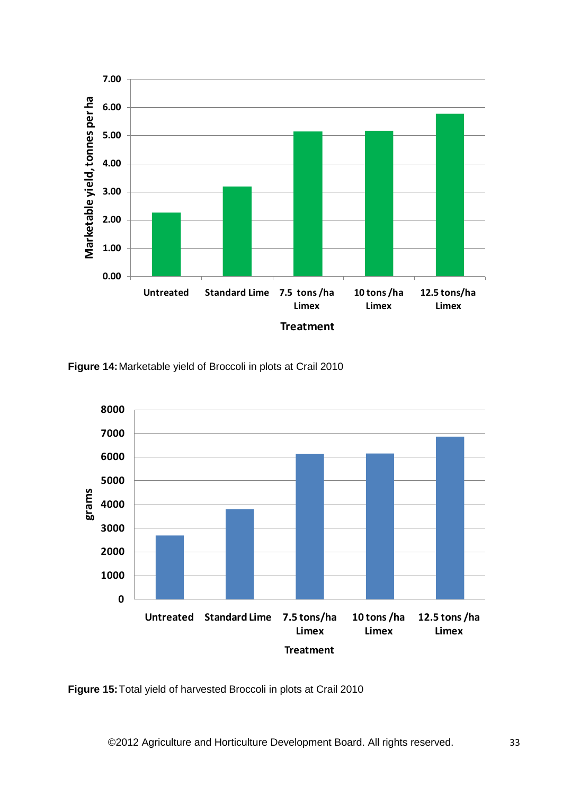

**Figure 14:**Marketable yield of Broccoli in plots at Crail 2010



**Figure 15:**Total yield of harvested Broccoli in plots at Crail 2010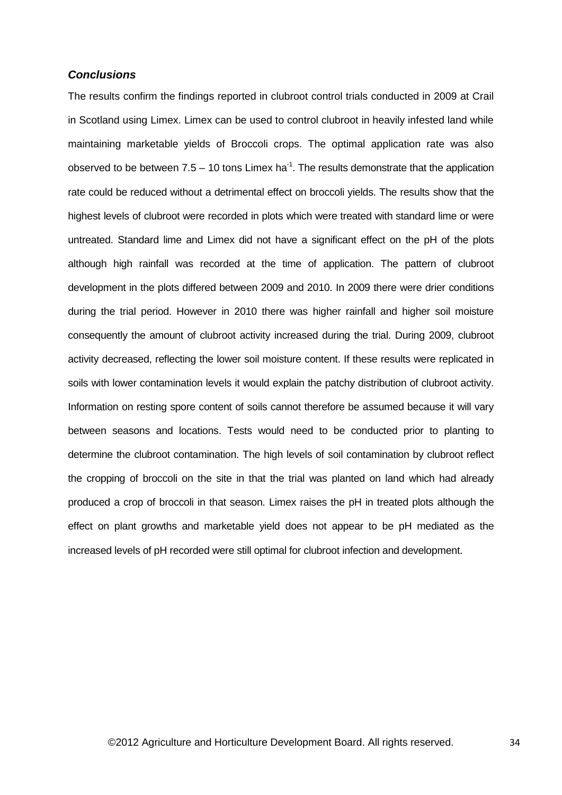### *Conclusions*

The results confirm the findings reported in clubroot control trials conducted in 2009 at Crail in Scotland using Limex. Limex can be used to control clubroot in heavily infested land while maintaining marketable yields of Broccoli crops. The optimal application rate was also observed to be between  $7.5 - 10$  tons Limex ha<sup>-1</sup>. The results demonstrate that the application rate could be reduced without a detrimental effect on broccoli yields. The results show that the highest levels of clubroot were recorded in plots which were treated with standard lime or were untreated. Standard lime and Limex did not have a significant effect on the pH of the plots although high rainfall was recorded at the time of application. The pattern of clubroot development in the plots differed between 2009 and 2010. In 2009 there were drier conditions during the trial period. However in 2010 there was higher rainfall and higher soil moisture consequently the amount of clubroot activity increased during the trial. During 2009, clubroot activity decreased, reflecting the lower soil moisture content. If these results were replicated in soils with lower contamination levels it would explain the patchy distribution of clubroot activity. Information on resting spore content of soils cannot therefore be assumed because it will vary between seasons and locations. Tests would need to be conducted prior to planting to determine the clubroot contamination. The high levels of soil contamination by clubroot reflect the cropping of broccoli on the site in that the trial was planted on land which had already produced a crop of broccoli in that season. Limex raises the pH in treated plots although the effect on plant growths and marketable yield does not appear to be pH mediated as the increased levels of pH recorded were still optimal for clubroot infection and development.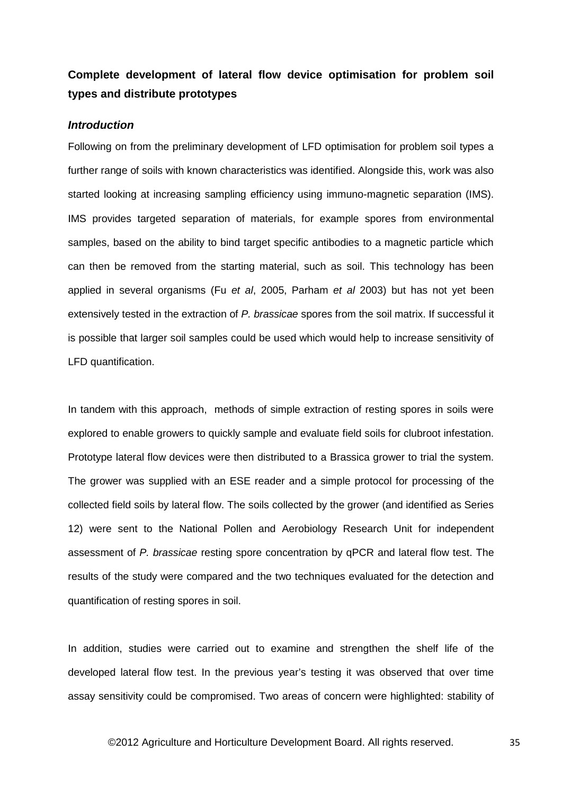# **Complete development of lateral flow device optimisation for problem soil types and distribute prototypes**

### *Introduction*

Following on from the preliminary development of LFD optimisation for problem soil types a further range of soils with known characteristics was identified. Alongside this, work was also started looking at increasing sampling efficiency using immuno-magnetic separation (IMS). IMS provides targeted separation of materials, for example spores from environmental samples, based on the ability to bind target specific antibodies to a magnetic particle which can then be removed from the starting material, such as soil. This technology has been applied in several organisms (Fu *et al*, 2005, Parham *et al* 2003) but has not yet been extensively tested in the extraction of *P. brassicae* spores from the soil matrix. If successful it is possible that larger soil samples could be used which would help to increase sensitivity of LFD quantification.

In tandem with this approach, methods of simple extraction of resting spores in soils were explored to enable growers to quickly sample and evaluate field soils for clubroot infestation. Prototype lateral flow devices were then distributed to a Brassica grower to trial the system. The grower was supplied with an ESE reader and a simple protocol for processing of the collected field soils by lateral flow. The soils collected by the grower (and identified as Series 12) were sent to the National Pollen and Aerobiology Research Unit for independent assessment of *P. brassicae* resting spore concentration by qPCR and lateral flow test. The results of the study were compared and the two techniques evaluated for the detection and quantification of resting spores in soil.

In addition, studies were carried out to examine and strengthen the shelf life of the developed lateral flow test. In the previous year's testing it was observed that over time assay sensitivity could be compromised. Two areas of concern were highlighted: stability of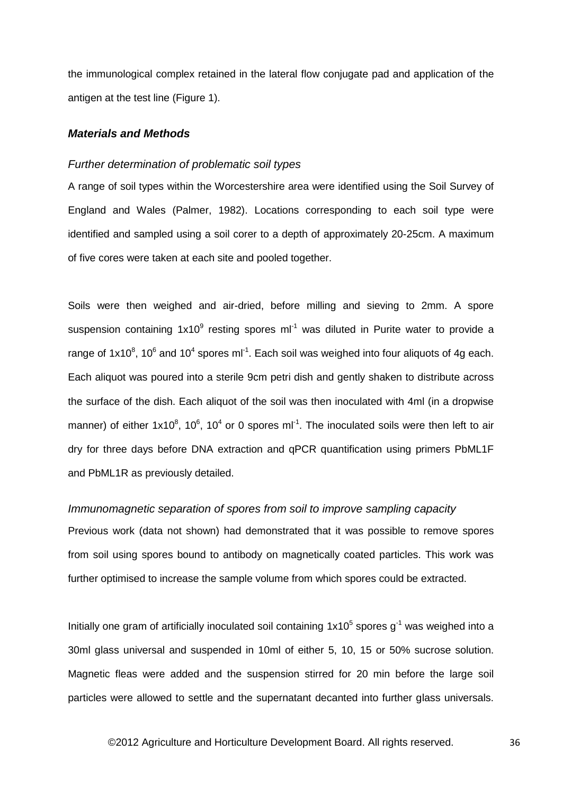the immunological complex retained in the lateral flow conjugate pad and application of the antigen at the test line (Figure 1).

### *Materials and Methods*

### *Further determination of problematic soil types*

A range of soil types within the Worcestershire area were identified using the Soil Survey of England and Wales (Palmer, 1982). Locations corresponding to each soil type were identified and sampled using a soil corer to a depth of approximately 20-25cm. A maximum of five cores were taken at each site and pooled together.

Soils were then weighed and air-dried, before milling and sieving to 2mm. A spore suspension containing  $1x10^9$  resting spores ml<sup>-1</sup> was diluted in Purite water to provide a range of 1x10<sup>8</sup>, 10<sup>6</sup> and 10<sup>4</sup> spores ml<sup>-1</sup>. Each soil was weighed into four aliquots of 4g each. Each aliquot was poured into a sterile 9cm petri dish and gently shaken to distribute across the surface of the dish. Each aliquot of the soil was then inoculated with 4ml (in a dropwise manner) of either 1x10<sup>8</sup>, 10<sup>6</sup>, 10<sup>4</sup> or 0 spores ml<sup>-1</sup>. The inoculated soils were then left to air dry for three days before DNA extraction and qPCR quantification using primers PbML1F and PbML1R as previously detailed.

### *Immunomagnetic separation of spores from soil to improve sampling capacity*

Previous work (data not shown) had demonstrated that it was possible to remove spores from soil using spores bound to antibody on magnetically coated particles. This work was further optimised to increase the sample volume from which spores could be extracted.

Initially one gram of artificially inoculated soil containing  $1x10<sup>5</sup>$  spores g<sup>-1</sup> was weighed into a 30ml glass universal and suspended in 10ml of either 5, 10, 15 or 50% sucrose solution. Magnetic fleas were added and the suspension stirred for 20 min before the large soil particles were allowed to settle and the supernatant decanted into further glass universals.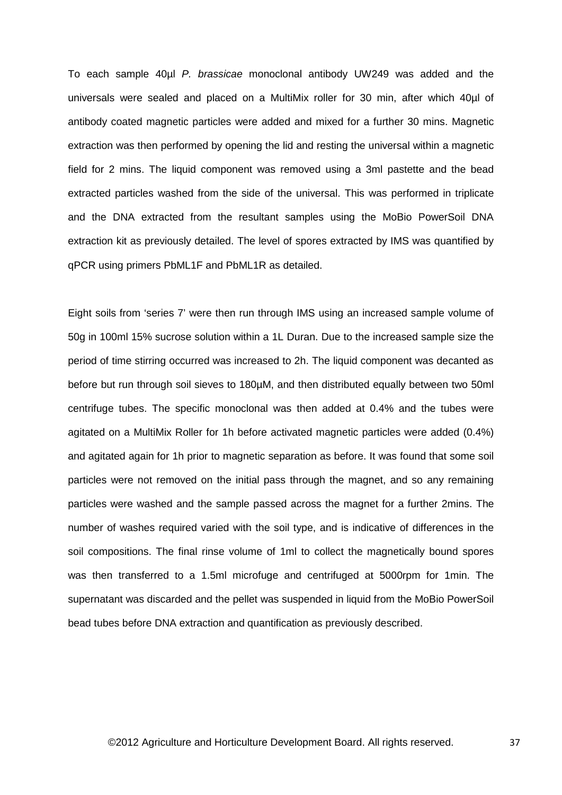To each sample 40µl *P. brassicae* monoclonal antibody UW249 was added and the universals were sealed and placed on a MultiMix roller for 30 min, after which 40µl of antibody coated magnetic particles were added and mixed for a further 30 mins. Magnetic extraction was then performed by opening the lid and resting the universal within a magnetic field for 2 mins. The liquid component was removed using a 3ml pastette and the bead extracted particles washed from the side of the universal. This was performed in triplicate and the DNA extracted from the resultant samples using the MoBio PowerSoil DNA extraction kit as previously detailed. The level of spores extracted by IMS was quantified by qPCR using primers PbML1F and PbML1R as detailed.

Eight soils from 'series 7' were then run through IMS using an increased sample volume of 50g in 100ml 15% sucrose solution within a 1L Duran. Due to the increased sample size the period of time stirring occurred was increased to 2h. The liquid component was decanted as before but run through soil sieves to 180µM, and then distributed equally between two 50ml centrifuge tubes. The specific monoclonal was then added at 0.4% and the tubes were agitated on a MultiMix Roller for 1h before activated magnetic particles were added (0.4%) and agitated again for 1h prior to magnetic separation as before. It was found that some soil particles were not removed on the initial pass through the magnet, and so any remaining particles were washed and the sample passed across the magnet for a further 2mins. The number of washes required varied with the soil type, and is indicative of differences in the soil compositions. The final rinse volume of 1ml to collect the magnetically bound spores was then transferred to a 1.5ml microfuge and centrifuged at 5000rpm for 1min. The supernatant was discarded and the pellet was suspended in liquid from the MoBio PowerSoil bead tubes before DNA extraction and quantification as previously described.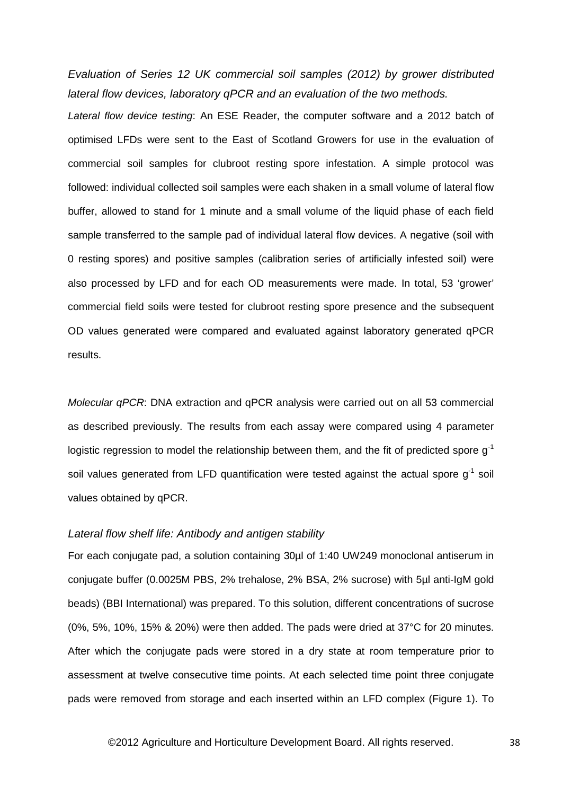*Evaluation of Series 12 UK commercial soil samples (2012) by grower distributed lateral flow devices, laboratory qPCR and an evaluation of the two methods.*

*Lateral flow device testing*: An ESE Reader, the computer software and a 2012 batch of optimised LFDs were sent to the East of Scotland Growers for use in the evaluation of commercial soil samples for clubroot resting spore infestation. A simple protocol was followed: individual collected soil samples were each shaken in a small volume of lateral flow buffer, allowed to stand for 1 minute and a small volume of the liquid phase of each field sample transferred to the sample pad of individual lateral flow devices. A negative (soil with 0 resting spores) and positive samples (calibration series of artificially infested soil) were also processed by LFD and for each OD measurements were made. In total, 53 'grower' commercial field soils were tested for clubroot resting spore presence and the subsequent OD values generated were compared and evaluated against laboratory generated qPCR results.

*Molecular qPCR*: DNA extraction and qPCR analysis were carried out on all 53 commercial as described previously. The results from each assay were compared using 4 parameter logistic regression to model the relationship between them, and the fit of predicted spore  $q^{-1}$ soil values generated from LFD quantification were tested against the actual spore  $q<sup>-1</sup>$  soil values obtained by qPCR.

# *Lateral flow shelf life: Antibody and antigen stability*

For each conjugate pad, a solution containing 30µl of 1:40 UW249 monoclonal antiserum in conjugate buffer (0.0025M PBS, 2% trehalose, 2% BSA, 2% sucrose) with 5µl anti-IgM gold beads) (BBI International) was prepared. To this solution, different concentrations of sucrose (0%, 5%, 10%, 15% & 20%) were then added. The pads were dried at 37°C for 20 minutes. After which the conjugate pads were stored in a dry state at room temperature prior to assessment at twelve consecutive time points. At each selected time point three conjugate pads were removed from storage and each inserted within an LFD complex (Figure 1). To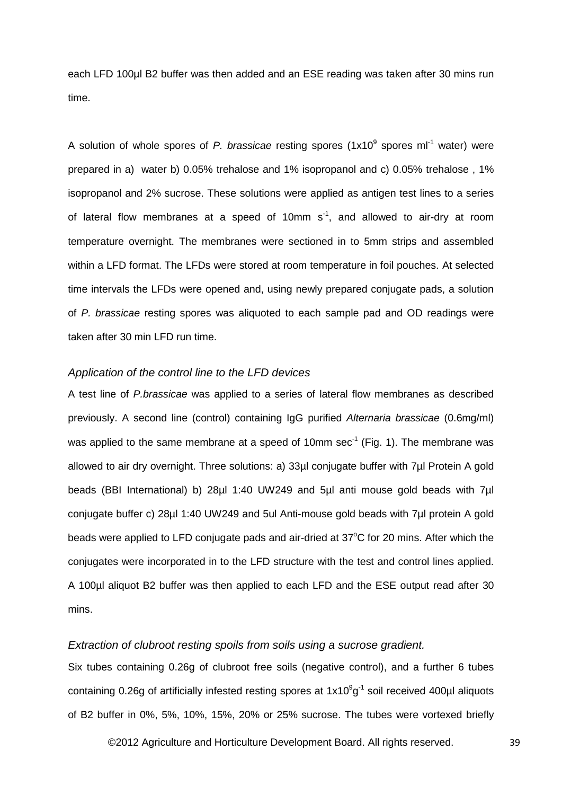each LFD 100µl B2 buffer was then added and an ESE reading was taken after 30 mins run time.

A solution of whole spores of *P. brassicae* resting spores (1x10<sup>9</sup> spores ml<sup>-1</sup> water) were prepared in a) water b) 0.05% trehalose and 1% isopropanol and c) 0.05% trehalose , 1% isopropanol and 2% sucrose. These solutions were applied as antigen test lines to a series of lateral flow membranes at a speed of 10mm  $s^{-1}$ , and allowed to air-dry at room temperature overnight. The membranes were sectioned in to 5mm strips and assembled within a LFD format. The LFDs were stored at room temperature in foil pouches. At selected time intervals the LFDs were opened and, using newly prepared conjugate pads, a solution of *P. brassicae* resting spores was aliquoted to each sample pad and OD readings were taken after 30 min LFD run time.

### *Application of the control line to the LFD devices*

A test line of *P.brassicae* was applied to a series of lateral flow membranes as described previously. A second line (control) containing IgG purified *Alternaria brassicae* (0.6mg/ml) was applied to the same membrane at a speed of 10mm sec<sup>-1</sup> (Fig. 1). The membrane was allowed to air dry overnight. Three solutions: a) 33µl conjugate buffer with 7µl Protein A gold beads (BBI International) b) 28µl 1:40 UW249 and 5µl anti mouse gold beads with 7µl conjugate buffer c) 28µl 1:40 UW249 and 5ul Anti-mouse gold beads with 7µl protein A gold beads were applied to LFD conjugate pads and air-dried at 37°C for 20 mins. After which the conjugates were incorporated in to the LFD structure with the test and control lines applied. A 100µl aliquot B2 buffer was then applied to each LFD and the ESE output read after 30 mins.

### *Extraction of clubroot resting spoils from soils using a sucrose gradient.*

Six tubes containing 0.26g of clubroot free soils (negative control), and a further 6 tubes containing 0.26g of artificially infested resting spores at  $1x10^9g^{-1}$  soil received 400µl aliquots of B2 buffer in 0%, 5%, 10%, 15%, 20% or 25% sucrose. The tubes were vortexed briefly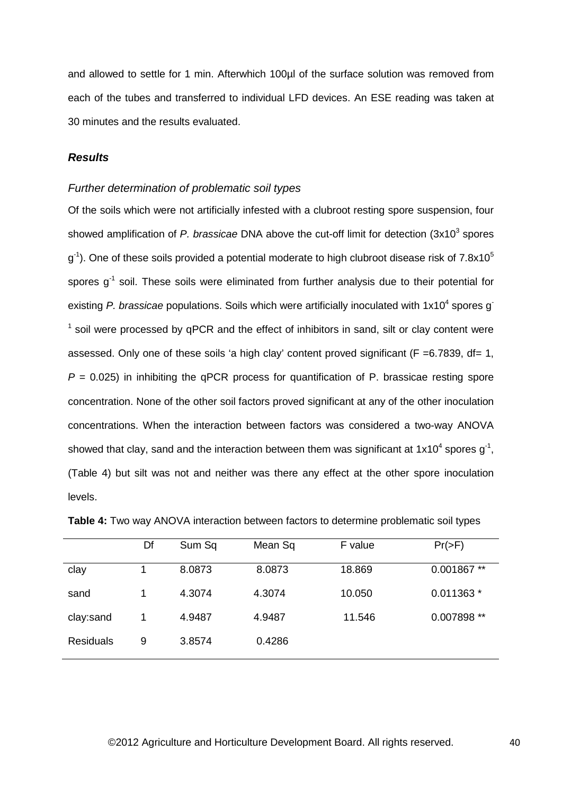and allowed to settle for 1 min. Afterwhich 100µl of the surface solution was removed from each of the tubes and transferred to individual LFD devices. An ESE reading was taken at 30 minutes and the results evaluated.

### *Results*

### *Further determination of problematic soil types*

Of the soils which were not artificially infested with a clubroot resting spore suspension, four showed amplification of *P. brassicae* DNA above the cut-off limit for detection (3x10<sup>3</sup> spores  $g^{-1}$ ). One of these soils provided a potential moderate to high clubroot disease risk of 7.8x10<sup>5</sup> spores  $g^{-1}$  soil. These soils were eliminated from further analysis due to their potential for existing P. brassicae populations. Soils which were artificially inoculated with 1x10<sup>4</sup> spores g<sup>-</sup>  $<sup>1</sup>$  soil were processed by qPCR and the effect of inhibitors in sand, silt or clay content were</sup> assessed. Only one of these soils 'a high clay' content proved significant ( $F = 6.7839$ , df= 1,  $P = 0.025$ ) in inhibiting the qPCR process for quantification of P. brassicae resting spore concentration. None of the other soil factors proved significant at any of the other inoculation concentrations. When the interaction between factors was considered a two-way ANOVA showed that clay, sand and the interaction between them was significant at 1x10<sup>4</sup> spores  $g^{-1}$ , (Table 4) but silt was not and neither was there any effect at the other spore inoculation levels.

|                  | Df | Sum Sq | Mean Sq | F value | $Pr(>=F)$     |
|------------------|----|--------|---------|---------|---------------|
| clay             |    | 8.0873 | 8.0873  | 18.869  | $0.001867$ ** |
| sand             |    | 4.3074 | 4.3074  | 10.050  | $0.011363*$   |
| clay:sand        |    | 4.9487 | 4.9487  | 11.546  | 0.007898 **   |
| <b>Residuals</b> | 9  | 3.8574 | 0.4286  |         |               |

| <b>Table 4:</b> Two way ANOVA interaction between factors to determine problematic soil types |  |  |  |
|-----------------------------------------------------------------------------------------------|--|--|--|
|-----------------------------------------------------------------------------------------------|--|--|--|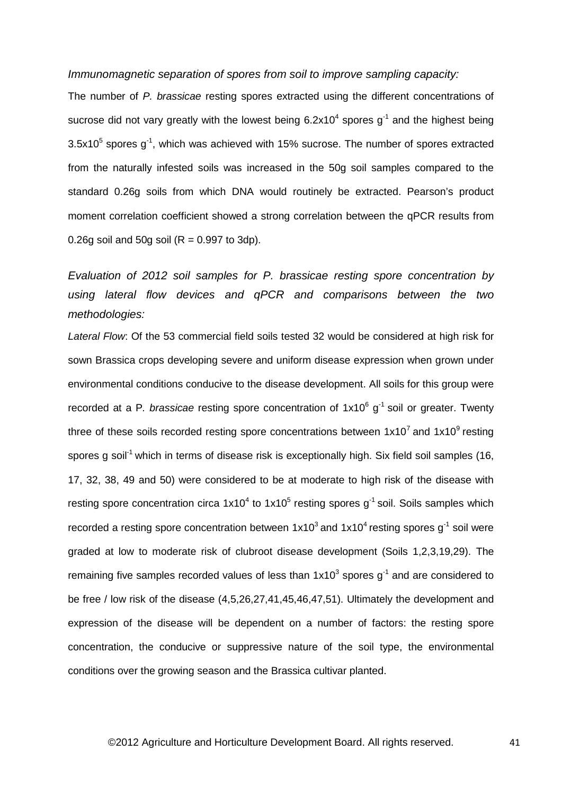*Immunomagnetic separation of spores from soil to improve sampling capacity:*

The number of *P. brassicae* resting spores extracted using the different concentrations of sucrose did not vary greatly with the lowest being  $6.2x10<sup>4</sup>$  spores  $q<sup>-1</sup>$  and the highest being  $3.5x10<sup>5</sup>$  spores g<sup>-1</sup>, which was achieved with 15% sucrose. The number of spores extracted from the naturally infested soils was increased in the 50g soil samples compared to the standard 0.26g soils from which DNA would routinely be extracted. Pearson's product moment correlation coefficient showed a strong correlation between the qPCR results from 0.26g soil and 50g soil ( $R = 0.997$  to 3dp).

*Evaluation of 2012 soil samples for P. brassicae resting spore concentration by using lateral flow devices and qPCR and comparisons between the two methodologies:*

*Lateral Flow*: Of the 53 commercial field soils tested 32 would be considered at high risk for sown Brassica crops developing severe and uniform disease expression when grown under environmental conditions conducive to the disease development. All soils for this group were recorded at a P. brassicae resting spore concentration of 1x10<sup>6</sup> g<sup>-1</sup> soil or greater. Twenty three of these soils recorded resting spore concentrations between  $1x10^7$  and  $1x10^9$  resting spores g soil<sup>-1</sup> which in terms of disease risk is exceptionally high. Six field soil samples (16, 17, 32, 38, 49 and 50) were considered to be at moderate to high risk of the disease with resting spore concentration circa  $1x10^4$  to  $1x10^5$  resting spores g<sup>-1</sup> soil. Soils samples which recorded a resting spore concentration between  $1x10^3$  and  $1x10^4$  resting spores g<sup>-1</sup> soil were graded at low to moderate risk of clubroot disease development (Soils 1,2,3,19,29). The remaining five samples recorded values of less than  $1x10^3$  spores  $q^{-1}$  and are considered to be free / low risk of the disease (4,5,26,27,41,45,46,47,51). Ultimately the development and expression of the disease will be dependent on a number of factors: the resting spore concentration, the conducive or suppressive nature of the soil type, the environmental conditions over the growing season and the Brassica cultivar planted.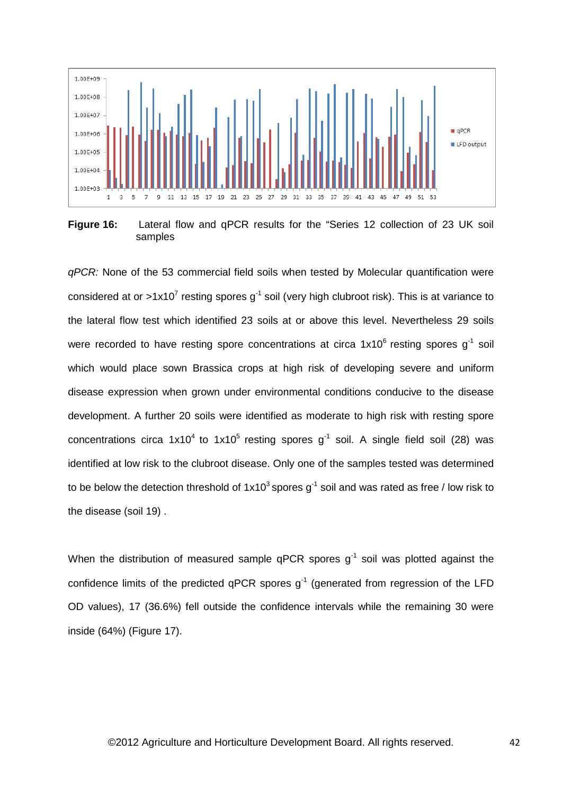

**Figure 16:** Lateral flow and qPCR results for the "Series 12 collection of 23 UK soil samples

*qPCR:* None of the 53 commercial field soils when tested by Molecular quantification were considered at or >1x10<sup>7</sup> resting spores  $q^{-1}$  soil (very high clubroot risk). This is at variance to the lateral flow test which identified 23 soils at or above this level. Nevertheless 29 soils were recorded to have resting spore concentrations at circa  $1x10^6$  resting spores g<sup>-1</sup> soil which would place sown Brassica crops at high risk of developing severe and uniform disease expression when grown under environmental conditions conducive to the disease development. A further 20 soils were identified as moderate to high risk with resting spore concentrations circa  $1x10^4$  to  $1x10^5$  resting spores  $q^{-1}$  soil. A single field soil (28) was identified at low risk to the clubroot disease. Only one of the samples tested was determined to be below the detection threshold of  $1x10^3$  spores  $q^{-1}$  soil and was rated as free / low risk to the disease (soil 19) .

When the distribution of measured sample  $qPCR$  spores  $q^{-1}$  soil was plotted against the confidence limits of the predicted qPCR spores  $g^{-1}$  (generated from regression of the LFD OD values), 17 (36.6%) fell outside the confidence intervals while the remaining 30 were inside (64%) (Figure 17).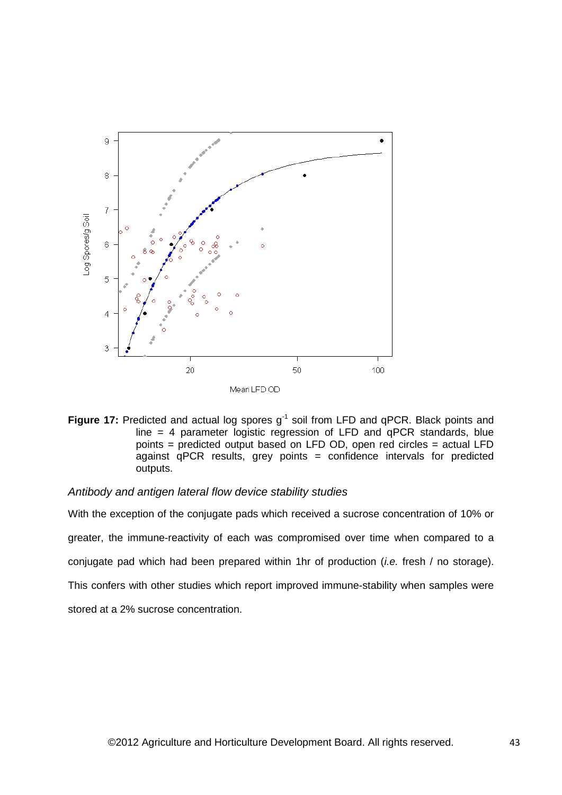

Figure 17: Predicted and actual log spores g<sup>-1</sup> soil from LFD and qPCR. Black points and line = 4 parameter logistic regression of LFD and qPCR standards, blue points = predicted output based on LFD OD, open red circles = actual LFD against qPCR results, grey points = confidence intervals for predicted outputs.

### *Antibody and antigen lateral flow device stability studies*

With the exception of the conjugate pads which received a sucrose concentration of 10% or greater, the immune-reactivity of each was compromised over time when compared to a conjugate pad which had been prepared within 1hr of production (*i.e.* fresh / no storage). This confers with other studies which report improved immune-stability when samples were stored at a 2% sucrose concentration.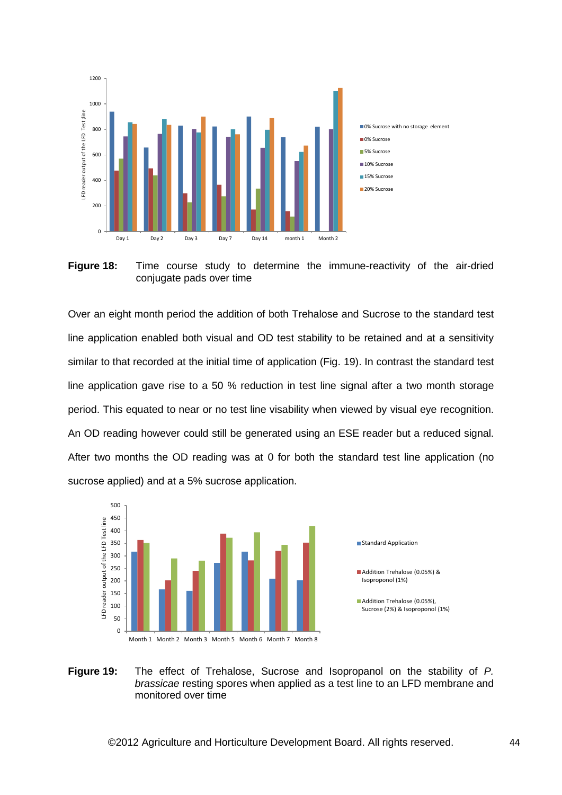

**Figure 18:** Time course study to determine the immune-reactivity of the air-dried conjugate pads over time

Over an eight month period the addition of both Trehalose and Sucrose to the standard test line application enabled both visual and OD test stability to be retained and at a sensitivity similar to that recorded at the initial time of application (Fig. 19). In contrast the standard test line application gave rise to a 50 % reduction in test line signal after a two month storage period. This equated to near or no test line visability when viewed by visual eye recognition. An OD reading however could still be generated using an ESE reader but a reduced signal. After two months the OD reading was at 0 for both the standard test line application (no sucrose applied) and at a 5% sucrose application.



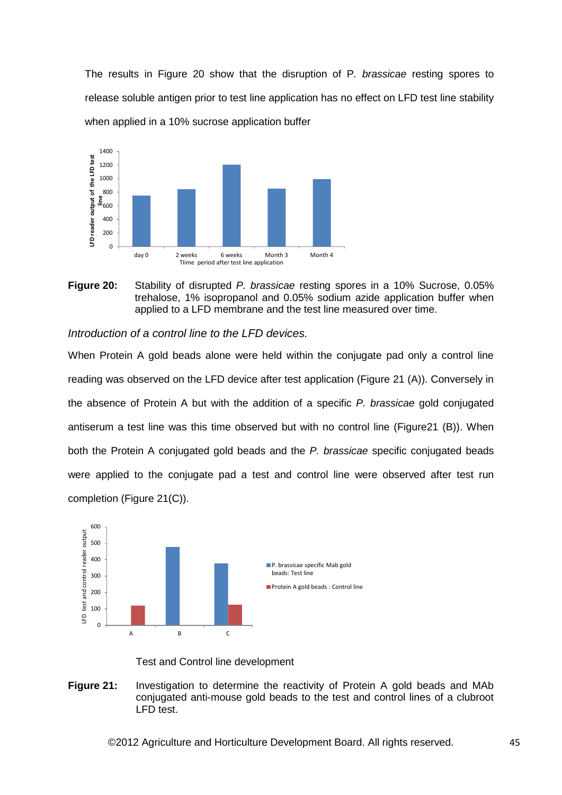The results in Figure 20 show that the disruption of P*. brassicae* resting spores to release soluble antigen prior to test line application has no effect on LFD test line stability when applied in a 10% sucrose application buffer



**Figure 20:** Stability of disrupted *P. brassicae* resting spores in a 10% Sucrose, 0.05% trehalose, 1% isopropanol and 0.05% sodium azide application buffer when applied to a LFD membrane and the test line measured over time.

*Introduction of a control line to the LFD devices.*

When Protein A gold beads alone were held within the conjugate pad only a control line reading was observed on the LFD device after test application (Figure 21 (A)). Conversely in the absence of Protein A but with the addition of a specific *P. brassicae* gold conjugated antiserum a test line was this time observed but with no control line (Figure21 (B)). When both the Protein A conjugated gold beads and the *P. brassicae* specific conjugated beads were applied to the conjugate pad a test and control line were observed after test run completion (Figure 21(C)).



Test and Control line development

**Figure 21:** Investigation to determine the reactivity of Protein A gold beads and MAb conjugated anti-mouse gold beads to the test and control lines of a clubroot LFD test.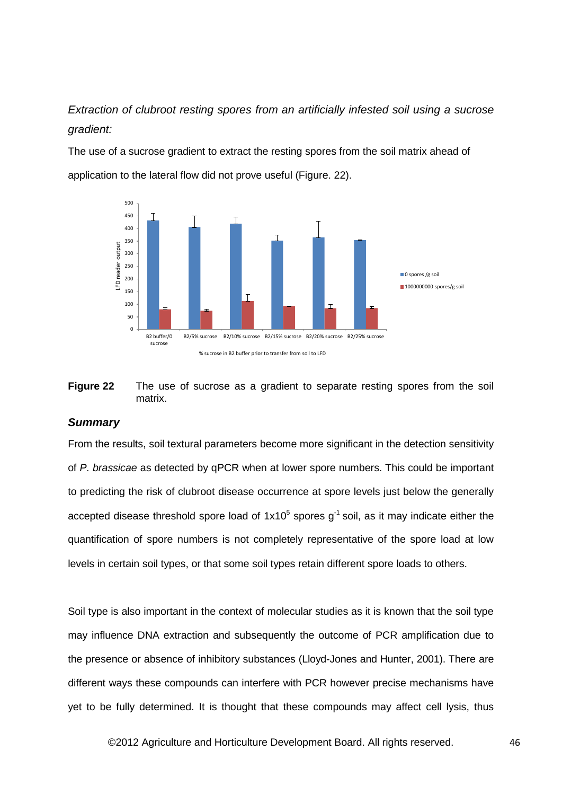*Extraction of clubroot resting spores from an artificially infested soil using a sucrose gradient:*

The use of a sucrose gradient to extract the resting spores from the soil matrix ahead of application to the lateral flow did not prove useful (Figure, 22).





### *Summary*

From the results, soil textural parameters become more significant in the detection sensitivity of *P. brassicae* as detected by qPCR when at lower spore numbers. This could be important to predicting the risk of clubroot disease occurrence at spore levels just below the generally accepted disease threshold spore load of  $1x10^5$  spores  $g^{-1}$  soil, as it may indicate either the quantification of spore numbers is not completely representative of the spore load at low levels in certain soil types, or that some soil types retain different spore loads to others.

Soil type is also important in the context of molecular studies as it is known that the soil type may influence DNA extraction and subsequently the outcome of PCR amplification due to the presence or absence of inhibitory substances (Lloyd-Jones and Hunter, 2001). There are different ways these compounds can interfere with PCR however precise mechanisms have yet to be fully determined. It is thought that these compounds may affect cell lysis, thus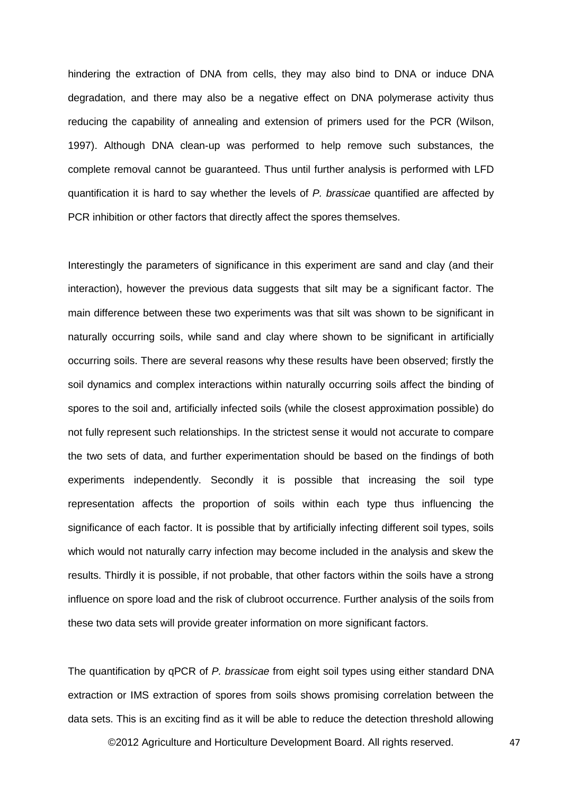hindering the extraction of DNA from cells, they may also bind to DNA or induce DNA degradation, and there may also be a negative effect on DNA polymerase activity thus reducing the capability of annealing and extension of primers used for the PCR (Wilson, 1997). Although DNA clean-up was performed to help remove such substances, the complete removal cannot be guaranteed. Thus until further analysis is performed with LFD quantification it is hard to say whether the levels of *P. brassicae* quantified are affected by PCR inhibition or other factors that directly affect the spores themselves.

Interestingly the parameters of significance in this experiment are sand and clay (and their interaction), however the previous data suggests that silt may be a significant factor. The main difference between these two experiments was that silt was shown to be significant in naturally occurring soils, while sand and clay where shown to be significant in artificially occurring soils. There are several reasons why these results have been observed; firstly the soil dynamics and complex interactions within naturally occurring soils affect the binding of spores to the soil and, artificially infected soils (while the closest approximation possible) do not fully represent such relationships. In the strictest sense it would not accurate to compare the two sets of data, and further experimentation should be based on the findings of both experiments independently. Secondly it is possible that increasing the soil type representation affects the proportion of soils within each type thus influencing the significance of each factor. It is possible that by artificially infecting different soil types, soils which would not naturally carry infection may become included in the analysis and skew the results. Thirdly it is possible, if not probable, that other factors within the soils have a strong influence on spore load and the risk of clubroot occurrence. Further analysis of the soils from these two data sets will provide greater information on more significant factors.

The quantification by qPCR of *P. brassicae* from eight soil types using either standard DNA extraction or IMS extraction of spores from soils shows promising correlation between the data sets. This is an exciting find as it will be able to reduce the detection threshold allowing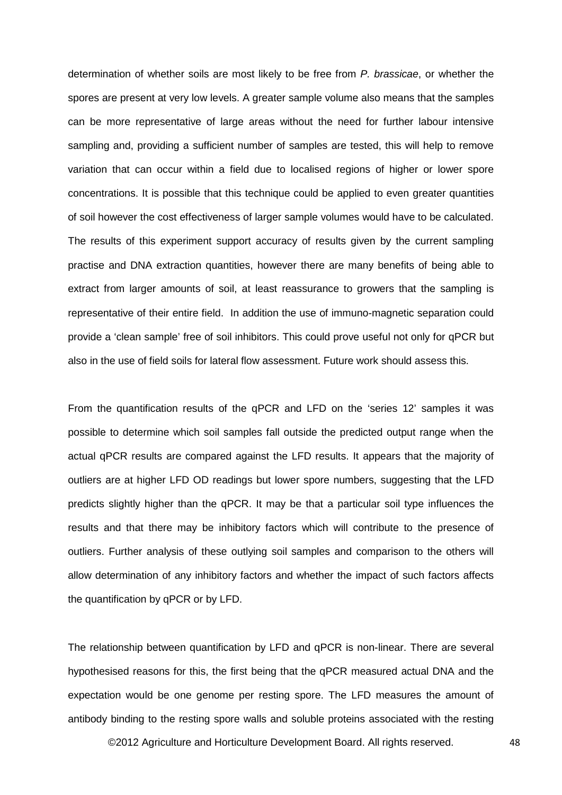determination of whether soils are most likely to be free from *P. brassicae*, or whether the spores are present at very low levels. A greater sample volume also means that the samples can be more representative of large areas without the need for further labour intensive sampling and, providing a sufficient number of samples are tested, this will help to remove variation that can occur within a field due to localised regions of higher or lower spore concentrations. It is possible that this technique could be applied to even greater quantities of soil however the cost effectiveness of larger sample volumes would have to be calculated. The results of this experiment support accuracy of results given by the current sampling practise and DNA extraction quantities, however there are many benefits of being able to extract from larger amounts of soil, at least reassurance to growers that the sampling is representative of their entire field. In addition the use of immuno-magnetic separation could provide a 'clean sample' free of soil inhibitors. This could prove useful not only for qPCR but also in the use of field soils for lateral flow assessment. Future work should assess this.

From the quantification results of the qPCR and LFD on the 'series 12' samples it was possible to determine which soil samples fall outside the predicted output range when the actual qPCR results are compared against the LFD results. It appears that the majority of outliers are at higher LFD OD readings but lower spore numbers, suggesting that the LFD predicts slightly higher than the qPCR. It may be that a particular soil type influences the results and that there may be inhibitory factors which will contribute to the presence of outliers. Further analysis of these outlying soil samples and comparison to the others will allow determination of any inhibitory factors and whether the impact of such factors affects the quantification by qPCR or by LFD.

The relationship between quantification by LFD and qPCR is non-linear. There are several hypothesised reasons for this, the first being that the qPCR measured actual DNA and the expectation would be one genome per resting spore. The LFD measures the amount of antibody binding to the resting spore walls and soluble proteins associated with the resting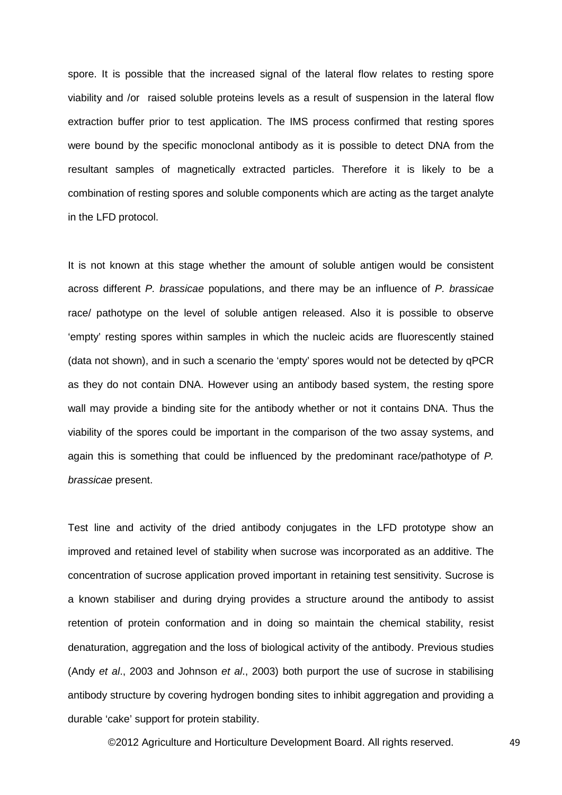spore. It is possible that the increased signal of the lateral flow relates to resting spore viability and /or raised soluble proteins levels as a result of suspension in the lateral flow extraction buffer prior to test application. The IMS process confirmed that resting spores were bound by the specific monoclonal antibody as it is possible to detect DNA from the resultant samples of magnetically extracted particles. Therefore it is likely to be a combination of resting spores and soluble components which are acting as the target analyte in the LFD protocol.

It is not known at this stage whether the amount of soluble antigen would be consistent across different *P. brassicae* populations, and there may be an influence of *P. brassicae*  race/ pathotype on the level of soluble antigen released. Also it is possible to observe 'empty' resting spores within samples in which the nucleic acids are fluorescently stained (data not shown), and in such a scenario the 'empty' spores would not be detected by qPCR as they do not contain DNA. However using an antibody based system, the resting spore wall may provide a binding site for the antibody whether or not it contains DNA. Thus the viability of the spores could be important in the comparison of the two assay systems, and again this is something that could be influenced by the predominant race/pathotype of *P. brassicae* present.

Test line and activity of the dried antibody conjugates in the LFD prototype show an improved and retained level of stability when sucrose was incorporated as an additive. The concentration of sucrose application proved important in retaining test sensitivity. Sucrose is a known stabiliser and during drying provides a structure around the antibody to assist retention of protein conformation and in doing so maintain the chemical stability, resist denaturation, aggregation and the loss of biological activity of the antibody. Previous studies (Andy *et al*., 2003 and Johnson *et al*., 2003) both purport the use of sucrose in stabilising antibody structure by covering hydrogen bonding sites to inhibit aggregation and providing a durable 'cake' support for protein stability.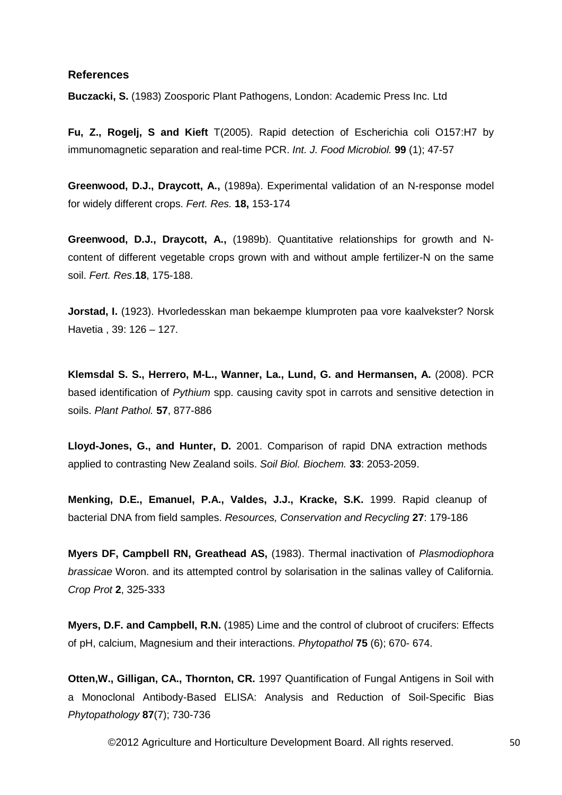### **References**

**Buczacki, S.** (1983) Zoosporic Plant Pathogens, London: Academic Press Inc. Ltd

**Fu, Z., Rogelj, S and Kieft** T(2005). Rapid detection of Escherichia coli O157:H7 by immunomagnetic separation and real-time PCR. *Int. J. Food Microbiol.* **99** (1); 47-57

**Greenwood, D.J., Draycott, A.,** (1989a). Experimental validation of an N-response model for widely different crops. *Fert. Res.* **18,** 153-174

**Greenwood, D.J., Draycott, A.,** (1989b). Quantitative relationships for growth and Ncontent of different vegetable crops grown with and without ample fertilizer-N on the same soil. *Fert. Res*.**18**, 175-188.

**Jorstad, I.** (1923). Hvorledesskan man bekaempe klumproten paa vore kaalvekster? Norsk Havetia , 39: 126 – 127.

**Klemsdal S. S., Herrero, M-L., Wanner, La., Lund, G. and Hermansen, A.** (2008). PCR based identification of *Pythium* spp. causing cavity spot in carrots and sensitive detection in soils. *Plant Pathol.* **57**, 877-886

**Lloyd-Jones, G., and Hunter, D.** 2001. Comparison of rapid DNA extraction methods applied to contrasting New Zealand soils. *Soil Biol. Biochem.* **33**: 2053-2059.

**Menking, D.E., Emanuel, P.A., Valdes, J.J., Kracke, S.K.** 1999. Rapid cleanup of bacterial DNA from field samples. *Resources, Conservation and Recycling* **27**: 179-186

**Myers DF, Campbell RN, Greathead AS,** (1983). Thermal inactivation of *Plasmodiophora brassicae* Woron. and its attempted control by solarisation in the salinas valley of California. *Crop Prot* **2**, 325-333

**Myers, D.F. and Campbell, R.N.** (1985) Lime and the control of clubroot of crucifers: Effects of pH, calcium, Magnesium and their interactions. *Phytopathol* **75** (6); 670- 674.

**Otten,W., Gilligan, CA., Thornton, CR.** 1997 Quantification of Fungal Antigens in Soil with a Monoclonal Antibody-Based ELISA: Analysis and Reduction of Soil-Specific Bias *Phytopathology* **87**(7); 730-736